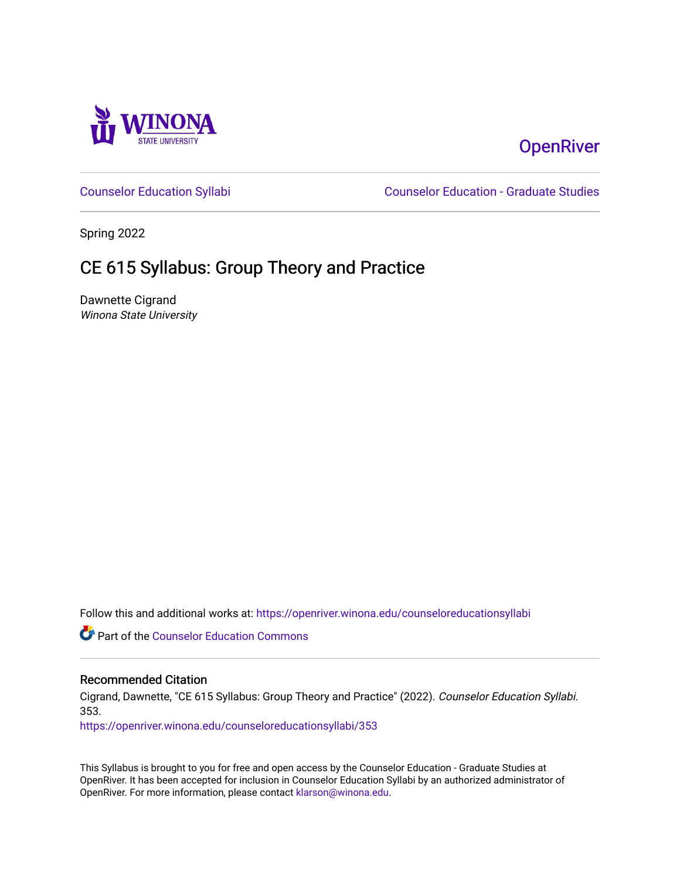

# **OpenRiver**

[Counselor Education Syllabi](https://openriver.winona.edu/counseloreducationsyllabi) [Counselor Education - Graduate Studies](https://openriver.winona.edu/counseloreducation) 

Spring 2022

# CE 615 Syllabus: Group Theory and Practice

Dawnette Cigrand Winona State University

Follow this and additional works at: [https://openriver.winona.edu/counseloreducationsyllabi](https://openriver.winona.edu/counseloreducationsyllabi?utm_source=openriver.winona.edu%2Fcounseloreducationsyllabi%2F353&utm_medium=PDF&utm_campaign=PDFCoverPages)

Part of the [Counselor Education Commons](http://network.bepress.com/hgg/discipline/1278?utm_source=openriver.winona.edu%2Fcounseloreducationsyllabi%2F353&utm_medium=PDF&utm_campaign=PDFCoverPages) 

#### Recommended Citation

Cigrand, Dawnette, "CE 615 Syllabus: Group Theory and Practice" (2022). Counselor Education Syllabi. 353.

[https://openriver.winona.edu/counseloreducationsyllabi/353](https://openriver.winona.edu/counseloreducationsyllabi/353?utm_source=openriver.winona.edu%2Fcounseloreducationsyllabi%2F353&utm_medium=PDF&utm_campaign=PDFCoverPages)

This Syllabus is brought to you for free and open access by the Counselor Education - Graduate Studies at OpenRiver. It has been accepted for inclusion in Counselor Education Syllabi by an authorized administrator of OpenRiver. For more information, please contact [klarson@winona.edu](mailto:klarson@winona.edu).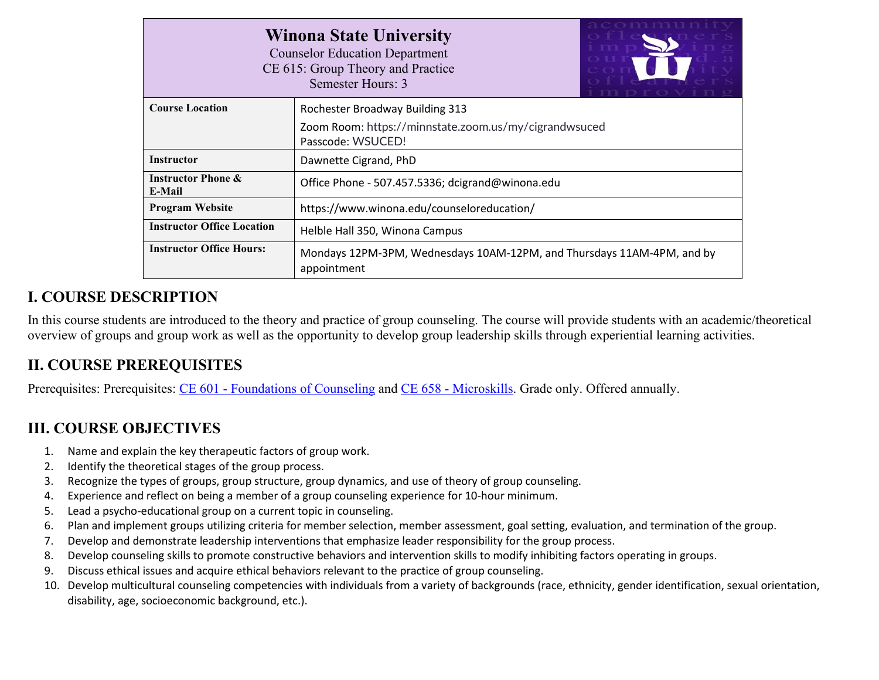| <b>Winona State University</b><br><b>Counselor Education Department</b><br>CE 615: Group Theory and Practice<br>Semester Hours: 3 |                                                  |  |  |  |  |
|-----------------------------------------------------------------------------------------------------------------------------------|--------------------------------------------------|--|--|--|--|
| <b>Course Location</b>                                                                                                            | Rochester Broadway Building 313                  |  |  |  |  |
| Zoom Room: https://minnstate.zoom.us/my/cigrandwsuced<br>Passcode: WSUCED!                                                        |                                                  |  |  |  |  |
| <b>Instructor</b>                                                                                                                 | Dawnette Cigrand, PhD                            |  |  |  |  |
| <b>Instructor Phone &amp;</b><br>E-Mail                                                                                           | Office Phone - 507.457.5336; dcigrand@winona.edu |  |  |  |  |
| <b>Program Website</b>                                                                                                            | https://www.winona.edu/counseloreducation/       |  |  |  |  |
| <b>Instructor Office Location</b>                                                                                                 | Helble Hall 350, Winona Campus                   |  |  |  |  |
| <b>Instructor Office Hours:</b><br>Mondays 12PM-3PM, Wednesdays 10AM-12PM, and Thursdays 11AM-4PM, and by<br>appointment          |                                                  |  |  |  |  |

## **I. COURSE DESCRIPTION**

In this course students are introduced to the theory and practice of group counseling. The course will provide students with an academic/theoretical overview of groups and group work as well as the opportunity to develop group leadership skills through experiential learning activities.

### **II. COURSE PREREQUISITES**

Prerequisites: Prerequisites: CE 601 - [Foundations of Counseling](http://catalog.winona.edu/preview_program.php?catoid=17&poid=3391#tt5296) and CE 658 - [Microskills.](http://catalog.winona.edu/preview_program.php?catoid=17&poid=3391#tt3650) Grade only. Offered annually.

# **III. COURSE OBJECTIVES**

- 1. Name and explain the key therapeutic factors of group work.
- 2. Identify the theoretical stages of the group process.
- 3. Recognize the types of groups, group structure, group dynamics, and use of theory of group counseling.
- 4. Experience and reflect on being a member of a group counseling experience for 10-hour minimum.
- 5. Lead a psycho-educational group on a current topic in counseling.
- 6. Plan and implement groups utilizing criteria for member selection, member assessment, goal setting, evaluation, and termination of the group.
- 7. Develop and demonstrate leadership interventions that emphasize leader responsibility for the group process.
- 8. Develop counseling skills to promote constructive behaviors and intervention skills to modify inhibiting factors operating in groups.
- 9. Discuss ethical issues and acquire ethical behaviors relevant to the practice of group counseling.
- 10. Develop multicultural counseling competencies with individuals from a variety of backgrounds (race, ethnicity, gender identification, sexual orientation, disability, age, socioeconomic background, etc.).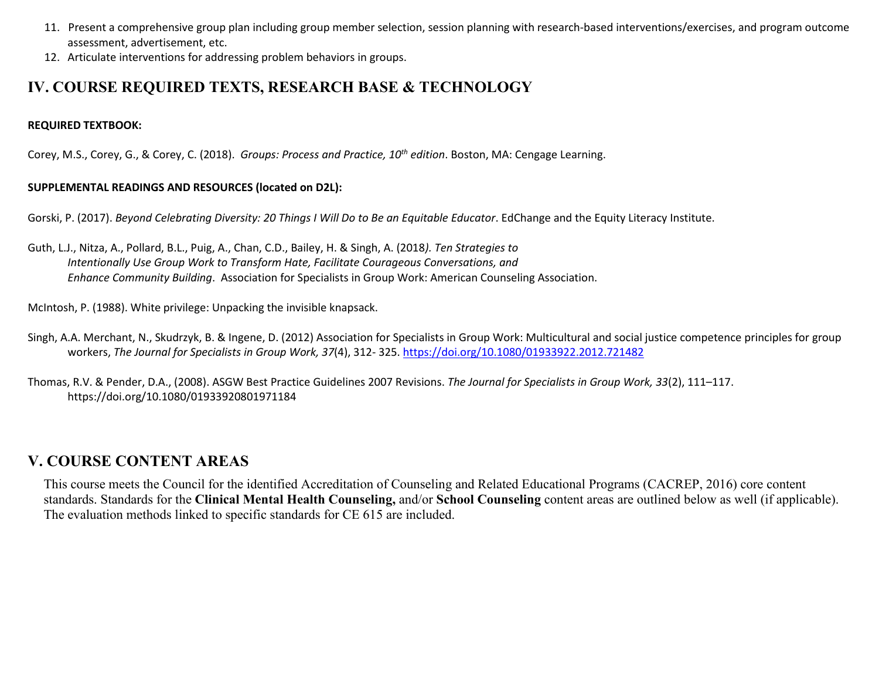- 11. Present a comprehensive group plan including group member selection, session planning with research-based interventions/exercises, and program outcome assessment, advertisement, etc.
- 12. Articulate interventions for addressing problem behaviors in groups.

### **IV. COURSE REQUIRED TEXTS, RESEARCH BASE & TECHNOLOGY**

#### **REQUIRED TEXTBOOK:**

Corey, M.S., Corey, G., & Corey, C. (2018). *Groups: Process and Practice, 10th edition*. Boston, MA: Cengage Learning.

#### **SUPPLEMENTAL READINGS AND RESOURCES (located on D2L):**

Gorski, P. (2017). *Beyond Celebrating Diversity: 20 Things I Will Do to Be an Equitable Educator*. EdChange and the Equity Literacy Institute.

Guth, L.J., Nitza, A., Pollard, B.L., Puig, A., Chan, C.D., Bailey, H. & Singh, A. (2018*). Ten Strategies to Intentionally Use Group Work to Transform Hate, Facilitate Courageous Conversations, and Enhance Community Building*. Association for Specialists in Group Work: American Counseling Association.

McIntosh, P. (1988). White privilege: Unpacking the invisible knapsack.

- Singh, A.A. Merchant, N., Skudrzyk, B. & Ingene, D. (2012) Association for Specialists in Group Work: Multicultural and social justice competence principles for group workers, *The Journal for Specialists in Group Work, 37*(4), 312- 325.<https://doi.org/10.1080/01933922.2012.721482>
- Thomas, R.V. & Pender, D.A., (2008). ASGW Best Practice Guidelines 2007 Revisions. *The Journal for Specialists in Group Work, 33*(2), 111–117. https://doi.org/10.1080/01933920801971184

### **V. COURSE CONTENT AREAS**

This course meets the Council for the identified Accreditation of Counseling and Related Educational Programs (CACREP, 2016) core content standards. Standards for the **Clinical Mental Health Counseling,** and/or **School Counseling** content areas are outlined below as well (if applicable). The evaluation methods linked to specific standards for CE 615 are included.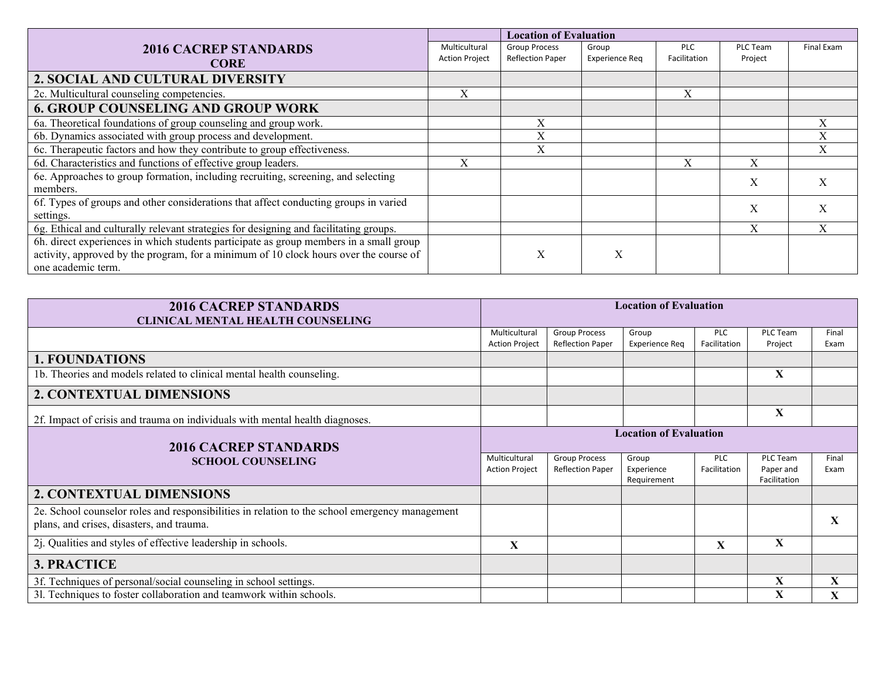|                                                                                        |                       | <b>Location of Evaluation</b> |                       |              |                 |            |
|----------------------------------------------------------------------------------------|-----------------------|-------------------------------|-----------------------|--------------|-----------------|------------|
| <b>2016 CACREP STANDARDS</b>                                                           | Multicultural         | <b>Group Process</b>          | Group                 | <b>PLC</b>   | <b>PLC Team</b> | Final Exam |
| <b>CORE</b>                                                                            | <b>Action Project</b> | <b>Reflection Paper</b>       | <b>Experience Reg</b> | Facilitation | Project         |            |
| 2. SOCIAL AND CULTURAL DIVERSITY                                                       |                       |                               |                       |              |                 |            |
| 2c. Multicultural counseling competencies.                                             | X                     |                               |                       | X            |                 |            |
| <b>6. GROUP COUNSELING AND GROUP WORK</b>                                              |                       |                               |                       |              |                 |            |
| 6a. Theoretical foundations of group counseling and group work.                        |                       | X                             |                       |              |                 | Х          |
| 6b. Dynamics associated with group process and development.                            |                       | X                             |                       |              |                 | X          |
| 6c. Therapeutic factors and how they contribute to group effectiveness.                |                       | X                             |                       |              |                 | X          |
| 6d. Characteristics and functions of effective group leaders.                          | X                     |                               |                       | X            | X               |            |
| 6e. Approaches to group formation, including recruiting, screening, and selecting      |                       |                               |                       |              | X               |            |
| members.                                                                               |                       |                               |                       |              |                 |            |
| 6f. Types of groups and other considerations that affect conducting groups in varied   |                       |                               |                       |              | X               | X          |
| settings.                                                                              |                       |                               |                       |              |                 |            |
| 6g. Ethical and culturally relevant strategies for designing and facilitating groups.  |                       |                               |                       |              | X               |            |
| 6h. direct experiences in which students participate as group members in a small group |                       |                               |                       |              |                 |            |
| activity, approved by the program, for a minimum of 10 clock hours over the course of  |                       | X                             | X                     |              |                 |            |
| one academic term.                                                                     |                       |                               |                       |              |                 |            |

| <b>2016 CACREP STANDARDS</b><br><b>CLINICAL MENTAL HEALTH COUNSELING</b>                                                                    | <b>Location of Evaluation</b>          |                                                 |                                    |                            |                                       |               |  |
|---------------------------------------------------------------------------------------------------------------------------------------------|----------------------------------------|-------------------------------------------------|------------------------------------|----------------------------|---------------------------------------|---------------|--|
|                                                                                                                                             | Multicultural<br><b>Action Project</b> | <b>Group Process</b><br><b>Reflection Paper</b> | Group<br><b>Experience Reg</b>     | <b>PLC</b><br>Facilitation | PLC Team<br>Project                   | Final<br>Exam |  |
| <b>1. FOUNDATIONS</b>                                                                                                                       |                                        |                                                 |                                    |                            |                                       |               |  |
| 1b. Theories and models related to clinical mental health counseling.                                                                       |                                        |                                                 |                                    |                            | X                                     |               |  |
| <b>2. CONTEXTUAL DIMENSIONS</b>                                                                                                             |                                        |                                                 |                                    |                            |                                       |               |  |
| 2f. Impact of crisis and trauma on individuals with mental health diagnoses.                                                                |                                        |                                                 |                                    |                            | X                                     |               |  |
| <b>2016 CACREP STANDARDS</b>                                                                                                                |                                        | <b>Location of Evaluation</b>                   |                                    |                            |                                       |               |  |
| <b>SCHOOL COUNSELING</b>                                                                                                                    | Multicultural<br><b>Action Project</b> | <b>Group Process</b><br><b>Reflection Paper</b> | Group<br>Experience<br>Requirement | <b>PLC</b><br>Facilitation | PLC Team<br>Paper and<br>Facilitation | Final<br>Exam |  |
| 2. CONTEXTUAL DIMENSIONS                                                                                                                    |                                        |                                                 |                                    |                            |                                       |               |  |
| 2e. School counselor roles and responsibilities in relation to the school emergency management<br>plans, and crises, disasters, and trauma. |                                        |                                                 |                                    |                            |                                       | $\mathbf{x}$  |  |
| 2j. Qualities and styles of effective leadership in schools.                                                                                | $\mathbf{X}$                           |                                                 |                                    | X                          | X                                     |               |  |
| 3. PRACTICE                                                                                                                                 |                                        |                                                 |                                    |                            |                                       |               |  |
| 3f. Techniques of personal/social counseling in school settings.                                                                            |                                        |                                                 |                                    |                            | X                                     | X             |  |
| 31. Techniques to foster collaboration and teamwork within schools.                                                                         |                                        |                                                 |                                    |                            | X                                     | X             |  |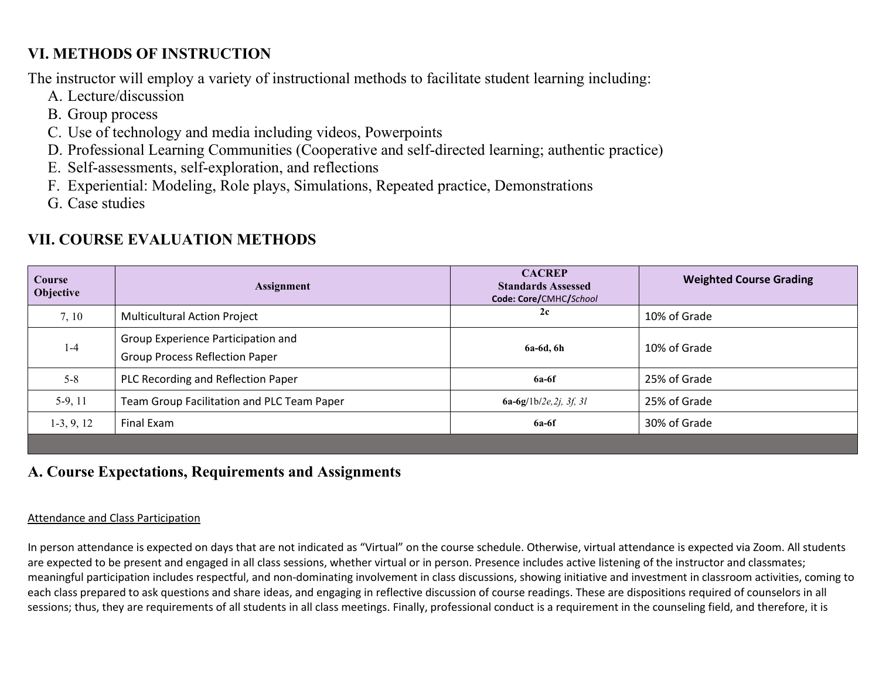# **VI. METHODS OF INSTRUCTION**

The instructor will employ a variety of instructional methods to facilitate student learning including:

- A. Lecture/discussion
- B. Group process
- C. Use of technology and media including videos, Powerpoints
- D. Professional Learning Communities (Cooperative and self-directed learning; authentic practice)
- E. Self-assessments, self-exploration, and reflections
- F. Experiential: Modeling, Role plays, Simulations, Repeated practice, Demonstrations
- G. Case studies

# **VII. COURSE EVALUATION METHODS**

| Course<br>Objective | Assignment                                                                  | <b>CACREP</b><br><b>Standards Assessed</b><br>Code: Core/CMHC/School | <b>Weighted Course Grading</b> |
|---------------------|-----------------------------------------------------------------------------|----------------------------------------------------------------------|--------------------------------|
| 7, 10               | <b>Multicultural Action Project</b>                                         | 2c                                                                   | 10% of Grade                   |
| $1 - 4$             | Group Experience Participation and<br><b>Group Process Reflection Paper</b> | 6a-6d, 6h                                                            | 10% of Grade                   |
| $5 - 8$             | PLC Recording and Reflection Paper                                          | $6a-6f$                                                              | 25% of Grade                   |
| $5-9, 11$           | Team Group Facilitation and PLC Team Paper                                  | $6a-6g/1b/2e, 2j, 3f, 3l$                                            | 25% of Grade                   |
| $1-3, 9, 12$        | Final Exam                                                                  | $6a-6f$                                                              | 30% of Grade                   |
|                     |                                                                             |                                                                      |                                |

### **A. Course Expectations, Requirements and Assignments**

### Attendance and Class Participation

In person attendance is expected on days that are not indicated as "Virtual" on the course schedule. Otherwise, virtual attendance is expected via Zoom. All students are expected to be present and engaged in all class sessions, whether virtual or in person. Presence includes active listening of the instructor and classmates; meaningful participation includes respectful, and non-dominating involvement in class discussions, showing initiative and investment in classroom activities, coming to each class prepared to ask questions and share ideas, and engaging in reflective discussion of course readings. These are dispositions required of counselors in all sessions; thus, they are requirements of all students in all class meetings. Finally, professional conduct is a requirement in the counseling field, and therefore, it is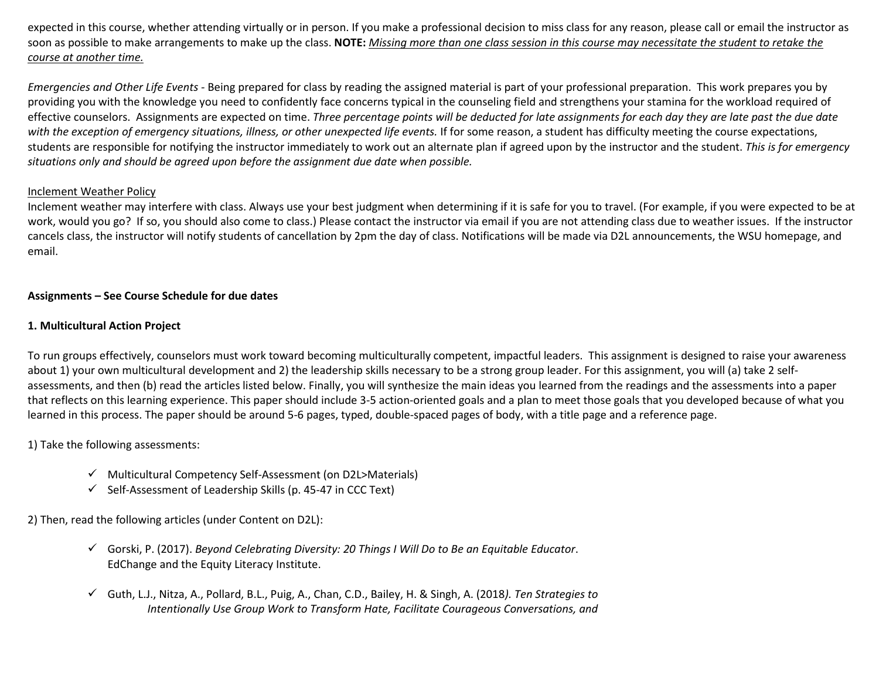expected in this course, whether attending virtually or in person. If you make a professional decision to miss class for any reason, please call or email the instructor as soon as possible to make arrangements to make up the class. **NOTE:** *Missing more than one class session in this course may necessitate the student to retake the course at another time.*

*Emergencies and Other Life Events -* Being prepared for class by reading the assigned material is part of your professional preparation. This work prepares you by providing you with the knowledge you need to confidently face concerns typical in the counseling field and strengthens your stamina for the workload required of effective counselors. Assignments are expected on time. *Three percentage points will be deducted for late assignments for each day they are late past the due date with the exception of emergency situations, illness, or other unexpected life events.* If for some reason, a student has difficulty meeting the course expectations, students are responsible for notifying the instructor immediately to work out an alternate plan if agreed upon by the instructor and the student. *This is for emergency situations only and should be agreed upon before the assignment due date when possible.* 

#### Inclement Weather Policy

Inclement weather may interfere with class. Always use your best judgment when determining if it is safe for you to travel. (For example, if you were expected to be at work, would you go? If so, you should also come to class.) Please contact the instructor via email if you are not attending class due to weather issues. If the instructor cancels class, the instructor will notify students of cancellation by 2pm the day of class. Notifications will be made via D2L announcements, the WSU homepage, and email.

#### **Assignments – See Course Schedule for due dates**

#### **1. Multicultural Action Project**

To run groups effectively, counselors must work toward becoming multiculturally competent, impactful leaders. This assignment is designed to raise your awareness about 1) your own multicultural development and 2) the leadership skills necessary to be a strong group leader. For this assignment, you will (a) take 2 selfassessments, and then (b) read the articles listed below. Finally, you will synthesize the main ideas you learned from the readings and the assessments into a paper that reflects on this learning experience. This paper should include 3-5 action-oriented goals and a plan to meet those goals that you developed because of what you learned in this process. The paper should be around 5-6 pages, typed, double-spaced pages of body, with a title page and a reference page.

1) Take the following assessments:

- $\checkmark$  Multicultural Competency Self-Assessment (on D2L>Materials)
- $\checkmark$  Self-Assessment of Leadership Skills (p. 45-47 in CCC Text)

2) Then, read the following articles (under Content on D2L):

- Gorski, P. (2017). *Beyond Celebrating Diversity: 20 Things I Will Do to Be an Equitable Educator*. EdChange and the Equity Literacy Institute.
- Guth, L.J., Nitza, A., Pollard, B.L., Puig, A., Chan, C.D., Bailey, H. & Singh, A. (2018*). Ten Strategies to Intentionally Use Group Work to Transform Hate, Facilitate Courageous Conversations, and*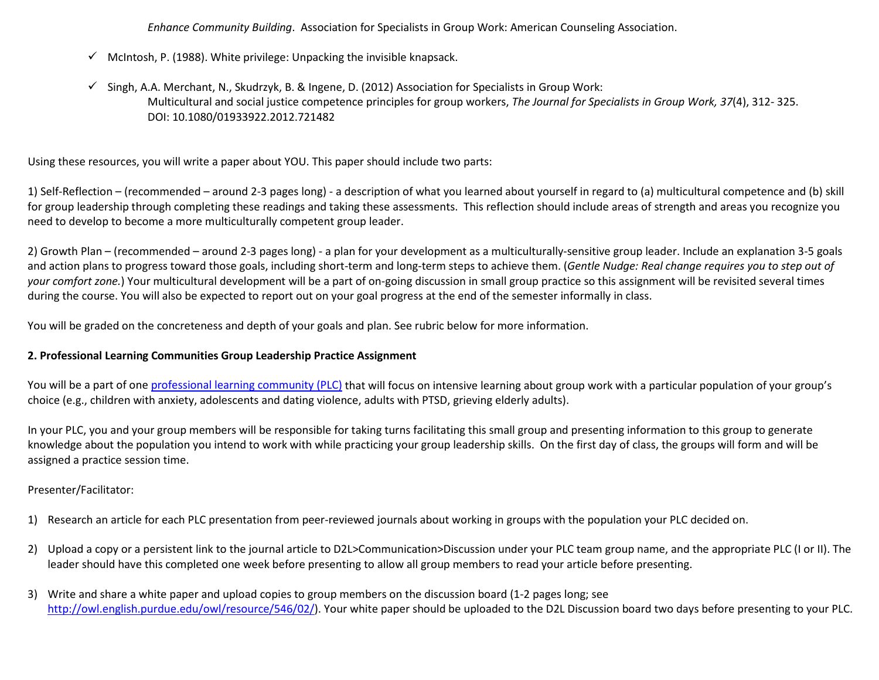*Enhance Community Building*. Association for Specialists in Group Work: American Counseling Association.

- $\checkmark$  McIntosh, P. (1988). White privilege: Unpacking the invisible knapsack.
- $\checkmark$  Singh, A.A. Merchant, N., Skudrzyk, B. & Ingene, D. (2012) Association for Specialists in Group Work: Multicultural and social justice competence principles for group workers, *The Journal for Specialists in Group Work, 37*(4), 312- 325. DOI: [10.1080/01933922.2012.721482](https://doi.org/10.1080/01933922.2012.721482)

Using these resources, you will write a paper about YOU. This paper should include two parts:

1) Self-Reflection – (recommended – around 2-3 pages long) - a description of what you learned about yourself in regard to (a) multicultural competence and (b) skill for group leadership through completing these readings and taking these assessments. This reflection should include areas of strength and areas you recognize you need to develop to become a more multiculturally competent group leader.

2) Growth Plan – (recommended – around 2-3 pages long) - a plan for your development as a multiculturally-sensitive group leader. Include an explanation 3-5 goals and action plans to progress toward those goals, including short-term and long-term steps to achieve them. (*Gentle Nudge: Real change requires you to step out of your comfort zone.*) Your multicultural development will be a part of on-going discussion in small group practice so this assignment will be revisited several times during the course. You will also be expected to report out on your goal progress at the end of the semester informally in class.

You will be graded on the concreteness and depth of your goals and plan. See rubric below for more information.

#### **2. Professional Learning Communities Group Leadership Practice Assignment**

You will be a part of one [professional learning community \(PLC\)](https://www.edglossary.org/professional-learning-community/) that will focus on intensive learning about group work with a particular population of your group's choice (e.g., children with anxiety, adolescents and dating violence, adults with PTSD, grieving elderly adults).

In your PLC, you and your group members will be responsible for taking turns facilitating this small group and presenting information to this group to generate knowledge about the population you intend to work with while practicing your group leadership skills. On the first day of class, the groups will form and will be assigned a practice session time.

#### Presenter/Facilitator:

- 1) Research an article for each PLC presentation from peer-reviewed journals about working in groups with the population your PLC decided on.
- 2) Upload a copy or a persistent link to the journal article to D2L>Communication>Discussion under your PLC team group name, and the appropriate PLC (I or II). The leader should have this completed one week before presenting to allow all group members to read your article before presenting.
- 3) Write and share a white paper and upload copies to group members on the discussion board (1-2 pages long; see [http://owl.english.purdue.edu/owl/resource/546/02/\)](http://owl.english.purdue.edu/owl/resource/546/02/). Your white paper should be uploaded to the D2L Discussion board two days before presenting to your PLC.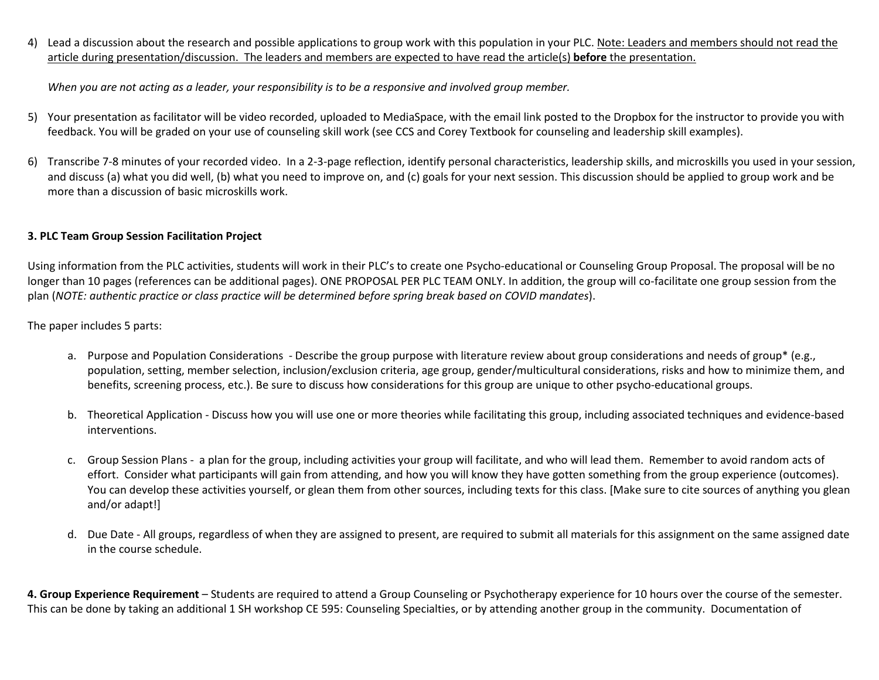4) Lead a discussion about the research and possible applications to group work with this population in your PLC. Note: Leaders and members should not read the article during presentation/discussion. The leaders and members are expected to have read the article(s) **before** the presentation.

*When you are not acting as a leader, your responsibility is to be a responsive and involved group member.* 

- 5) Your presentation as facilitator will be video recorded, uploaded to MediaSpace, with the email link posted to the Dropbox for the instructor to provide you with feedback. You will be graded on your use of counseling skill work (see CCS and Corey Textbook for counseling and leadership skill examples).
- 6) Transcribe 7-8 minutes of your recorded video. In a 2-3-page reflection, identify personal characteristics, leadership skills, and microskills you used in your session, and discuss (a) what you did well, (b) what you need to improve on, and (c) goals for your next session. This discussion should be applied to group work and be more than a discussion of basic microskills work.

#### **3. PLC Team Group Session Facilitation Project**

Using information from the PLC activities, students will work in their PLC's to create one Psycho-educational or Counseling Group Proposal. The proposal will be no longer than 10 pages (references can be additional pages). ONE PROPOSAL PER PLC TEAM ONLY. In addition, the group will co-facilitate one group session from the plan (*NOTE: authentic practice or class practice will be determined before spring break based on COVID mandates*).

The paper includes 5 parts:

- a. Purpose and Population Considerations Describe the group purpose with literature review about group considerations and needs of group\* (e.g., population, setting, member selection, inclusion/exclusion criteria, age group, gender/multicultural considerations, risks and how to minimize them, and benefits, screening process, etc.). Be sure to discuss how considerations for this group are unique to other psycho-educational groups.
- b. Theoretical Application Discuss how you will use one or more theories while facilitating this group, including associated techniques and evidence-based interventions.
- c. Group Session Plans a plan for the group, including activities your group will facilitate, and who will lead them. Remember to avoid random acts of effort. Consider what participants will gain from attending, and how you will know they have gotten something from the group experience (outcomes). You can develop these activities yourself, or glean them from other sources, including texts for this class. [Make sure to cite sources of anything you glean and/or adapt!]
- d. Due Date All groups, regardless of when they are assigned to present, are required to submit all materials for this assignment on the same assigned date in the course schedule.

**4. Group Experience Requirement** – Students are required to attend a Group Counseling or Psychotherapy experience for 10 hours over the course of the semester. This can be done by taking an additional 1 SH workshop CE 595: Counseling Specialties, or by attending another group in the community. Documentation of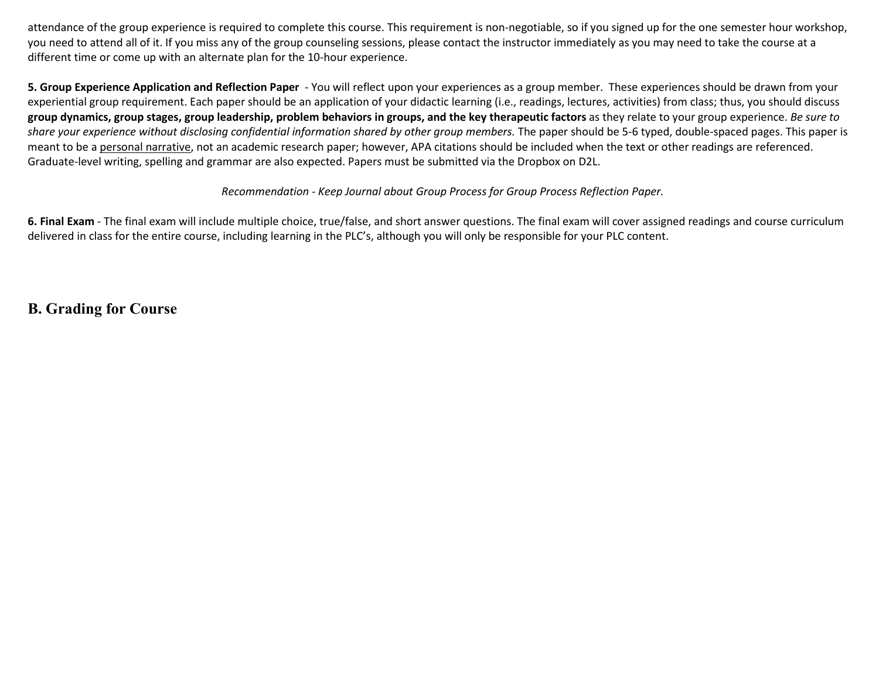attendance of the group experience is required to complete this course. This requirement is non-negotiable, so if you signed up for the one semester hour workshop, you need to attend all of it. If you miss any of the group counseling sessions, please contact the instructor immediately as you may need to take the course at a different time or come up with an alternate plan for the 10-hour experience.

**5. Group Experience Application and Reflection Paper** - You will reflect upon your experiences as a group member. These experiences should be drawn from your experiential group requirement. Each paper should be an application of your didactic learning (i.e., readings, lectures, activities) from class; thus, you should discuss **group dynamics, group stages, group leadership, problem behaviors in groups, and the key therapeutic factors** as they relate to your group experience. *Be sure to share your experience without disclosing confidential information shared by other group members.* The paper should be 5-6 typed, double-spaced pages. This paper is meant to be a personal narrative, not an academic research paper; however, APA citations should be included when the text or other readings are referenced. Graduate-level writing, spelling and grammar are also expected. Papers must be submitted via the Dropbox on D2L.

#### *Recommendation - Keep Journal about Group Process for Group Process Reflection Paper.*

**6. Final Exam** - The final exam will include multiple choice, true/false, and short answer questions. The final exam will cover assigned readings and course curriculum delivered in class for the entire course, including learning in the PLC's, although you will only be responsible for your PLC content.

**B. Grading for Course**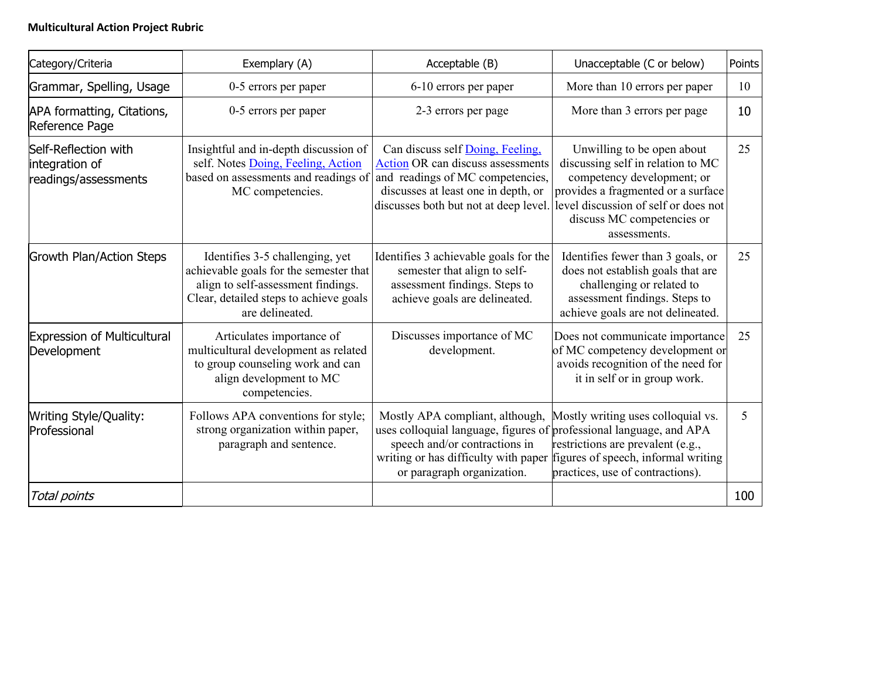### **Multicultural Action Project Rubric**

| Category/Criteria                                              | Exemplary (A)                                                                                                                                                                | Acceptable (B)                                                                                                                                                                                                                                    | Unacceptable (C or below)                                                                                                                                                                                                 | Points |
|----------------------------------------------------------------|------------------------------------------------------------------------------------------------------------------------------------------------------------------------------|---------------------------------------------------------------------------------------------------------------------------------------------------------------------------------------------------------------------------------------------------|---------------------------------------------------------------------------------------------------------------------------------------------------------------------------------------------------------------------------|--------|
| Grammar, Spelling, Usage                                       | 0-5 errors per paper                                                                                                                                                         | 6-10 errors per paper                                                                                                                                                                                                                             | More than 10 errors per paper                                                                                                                                                                                             | 10     |
| APA formatting, Citations,<br>Reference Page                   | 0-5 errors per paper                                                                                                                                                         | 2-3 errors per page                                                                                                                                                                                                                               | More than 3 errors per page                                                                                                                                                                                               | 10     |
| Self-Reflection with<br>integration of<br>readings/assessments | Insightful and in-depth discussion of<br>self. Notes Doing, Feeling, Action<br>based on assessments and readings of<br>MC competencies.                                      | Can discuss self Doing, Feeling,<br>Action OR can discuss assessments<br>and readings of MC competencies,<br>discusses at least one in depth, or<br>discusses both but not at deep level.                                                         | Unwilling to be open about<br>discussing self in relation to MC<br>competency development; or<br>provides a fragmented or a surface<br>level discussion of self or does not<br>discuss MC competencies or<br>assessments. | 25     |
| <b>Growth Plan/Action Steps</b>                                | Identifies 3-5 challenging, yet<br>achievable goals for the semester that<br>align to self-assessment findings.<br>Clear, detailed steps to achieve goals<br>are delineated. | Identifies 3 achievable goals for the<br>semester that align to self-<br>assessment findings. Steps to<br>achieve goals are delineated.                                                                                                           | Identifies fewer than 3 goals, or<br>does not establish goals that are<br>challenging or related to<br>assessment findings. Steps to<br>achieve goals are not delineated.                                                 | 25     |
| <b>Expression of Multicultural</b><br>Development              | Articulates importance of<br>multicultural development as related<br>to group counseling work and can<br>align development to MC<br>competencies.                            | Discusses importance of MC<br>development.                                                                                                                                                                                                        | Does not communicate importance<br>of MC competency development or<br>avoids recognition of the need for<br>it in self or in group work.                                                                                  | 25     |
| <b>Writing Style/Quality:</b><br>Professional                  | Follows APA conventions for style;<br>strong organization within paper,<br>paragraph and sentence.                                                                           | Mostly APA compliant, although,<br>uses colloquial language, figures of professional language, and APA<br>speech and/or contractions in<br>writing or has difficulty with paper figures of speech, informal writing<br>or paragraph organization. | Mostly writing uses colloquial vs.<br>restrictions are prevalent (e.g.,<br>practices, use of contractions).                                                                                                               | 5      |
| Total points                                                   |                                                                                                                                                                              |                                                                                                                                                                                                                                                   |                                                                                                                                                                                                                           | 100    |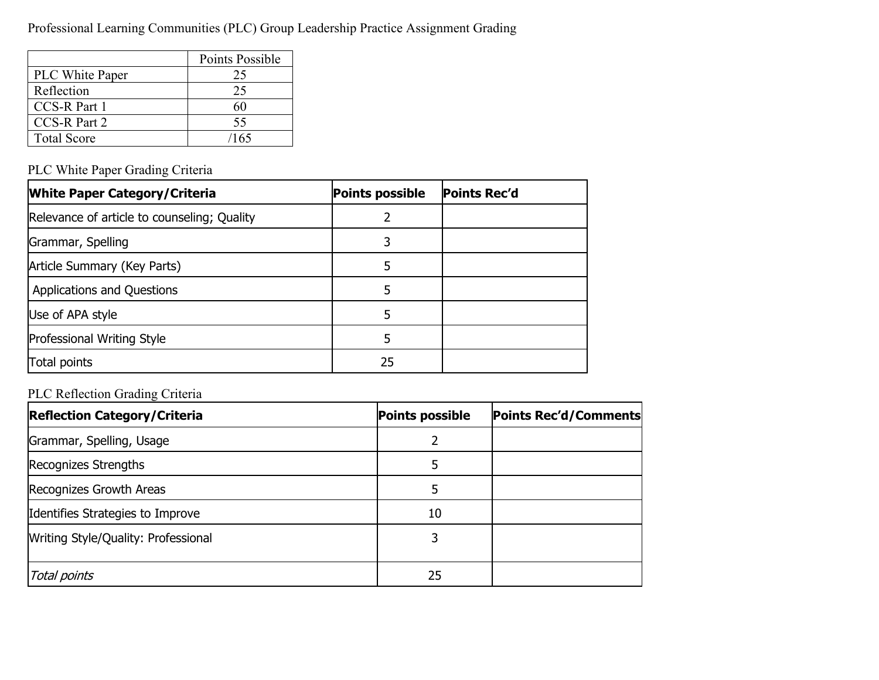Professional Learning Communities (PLC) Group Leadership Practice Assignment Grading

|                    | Points Possible |
|--------------------|-----------------|
| PLC White Paper    | 25              |
| Reflection         | 25              |
| CCS-R Part 1       |                 |
| CCS-R Part 2       | 55              |
| <b>Total Score</b> | /165            |

### PLC White Paper Grading Criteria

| <b>White Paper Category/Criteria</b>        | <b>Points possible</b> | <b>Points Rec'd</b> |
|---------------------------------------------|------------------------|---------------------|
| Relevance of article to counseling; Quality |                        |                     |
| Grammar, Spelling                           | 3                      |                     |
| Article Summary (Key Parts)                 |                        |                     |
| <b>Applications and Questions</b>           | 5                      |                     |
| Use of APA style                            |                        |                     |
| Professional Writing Style                  | 5                      |                     |
| Total points                                | 25                     |                     |

### PLC Reflection Grading Criteria

| <b>Reflection Category/Criteria</b> | <b>Points possible</b> | Points Rec'd/Comments |
|-------------------------------------|------------------------|-----------------------|
| Grammar, Spelling, Usage            |                        |                       |
| Recognizes Strengths                |                        |                       |
| Recognizes Growth Areas             |                        |                       |
| Identifies Strategies to Improve    | 10                     |                       |
| Writing Style/Quality: Professional |                        |                       |
| Total points                        | 25                     |                       |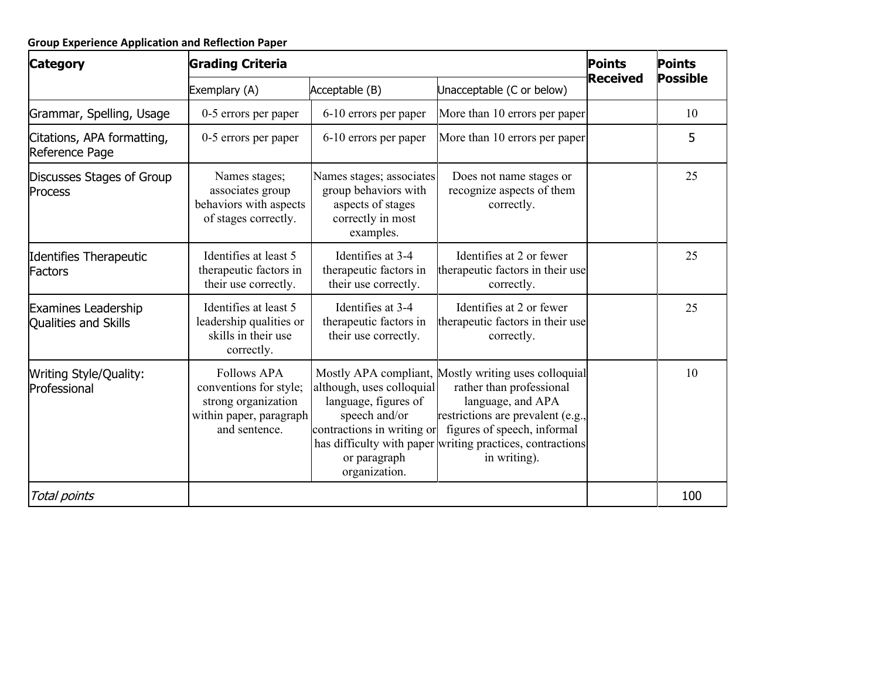| <b>Category</b>                                    | <b>Grading Criteria</b>                                                                                         | <b>Points</b>                                                                                                                     | <b>Points</b>                                                                                                                                                                                                                                          |                 |                 |  |
|----------------------------------------------------|-----------------------------------------------------------------------------------------------------------------|-----------------------------------------------------------------------------------------------------------------------------------|--------------------------------------------------------------------------------------------------------------------------------------------------------------------------------------------------------------------------------------------------------|-----------------|-----------------|--|
|                                                    | Exemplary (A)                                                                                                   | Acceptable (B)                                                                                                                    | Unacceptable (C or below)                                                                                                                                                                                                                              | <b>Received</b> | <b>Possible</b> |  |
| Grammar, Spelling, Usage                           | 0-5 errors per paper                                                                                            | 6-10 errors per paper                                                                                                             | More than 10 errors per paper                                                                                                                                                                                                                          |                 | 10              |  |
| Citations, APA formatting,<br>Reference Page       | 0-5 errors per paper                                                                                            | 6-10 errors per paper                                                                                                             | More than 10 errors per paper                                                                                                                                                                                                                          |                 | 5               |  |
| Discusses Stages of Group<br><b>Process</b>        | Names stages;<br>associates group<br>behaviors with aspects<br>of stages correctly.                             | Names stages; associates<br>group behaviors with<br>aspects of stages<br>correctly in most<br>examples.                           | Does not name stages or<br>recognize aspects of them<br>correctly.                                                                                                                                                                                     |                 | 25              |  |
| Identifies Therapeutic<br>Factors                  | Identifies at least 5<br>therapeutic factors in<br>their use correctly.                                         | Identifies at 3-4<br>therapeutic factors in<br>their use correctly.                                                               | Identifies at 2 or fewer<br>therapeutic factors in their use<br>correctly.                                                                                                                                                                             |                 | 25              |  |
| <b>Examines Leadership</b><br>Qualities and Skills | Identifies at least 5<br>leadership qualities or<br>skills in their use<br>correctly.                           | Identifies at 3-4<br>therapeutic factors in<br>their use correctly.                                                               | Identifies at 2 or fewer<br>therapeutic factors in their use<br>correctly.                                                                                                                                                                             |                 | 25              |  |
| Writing Style/Quality:<br>Professional             | <b>Follows APA</b><br>conventions for style;<br>strong organization<br>within paper, paragraph<br>and sentence. | although, uses colloquial<br>language, figures of<br>speech and/or<br>contractions in writing or<br>or paragraph<br>organization. | Mostly APA compliant, Mostly writing uses colloquial<br>rather than professional<br>language, and APA<br>restrictions are prevalent (e.g.,<br>figures of speech, informal<br>has difficulty with paper writing practices, contractions<br>in writing). |                 | 10              |  |
| Total points                                       |                                                                                                                 |                                                                                                                                   |                                                                                                                                                                                                                                                        |                 | 100             |  |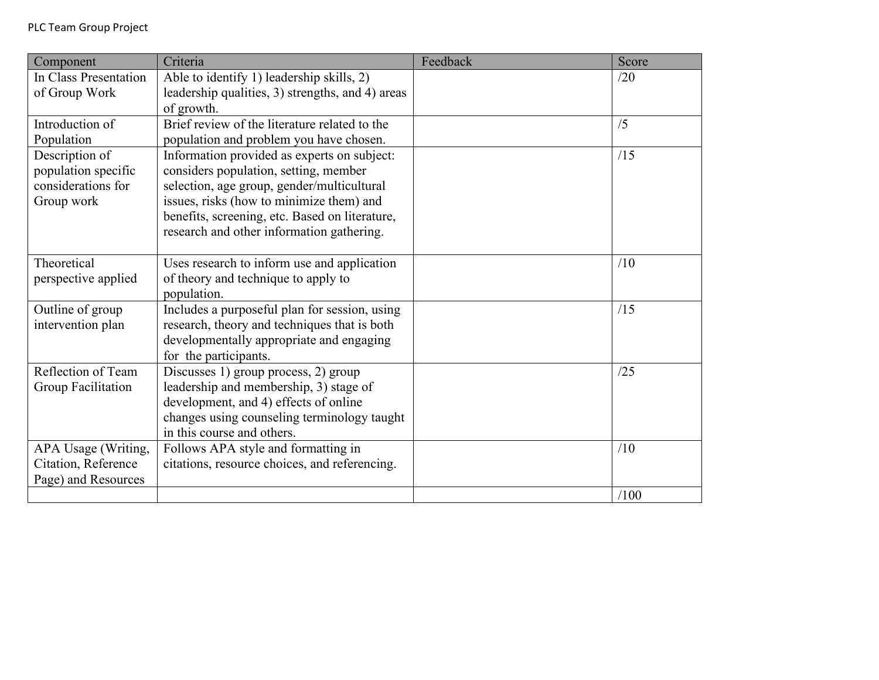| Component             | Criteria                                                      | Feedback | Score |
|-----------------------|---------------------------------------------------------------|----------|-------|
| In Class Presentation | Able to identify 1) leadership skills, 2)                     |          | /20   |
| of Group Work         | leadership qualities, 3) strengths, and 4) areas              |          |       |
|                       | of growth.                                                    |          |       |
| Introduction of       | Brief review of the literature related to the                 |          | /5    |
| Population            | population and problem you have chosen.                       |          |       |
| Description of        | Information provided as experts on subject:                   |          | /15   |
| population specific   | considers population, setting, member                         |          |       |
| considerations for    | selection, age group, gender/multicultural                    |          |       |
| Group work            | issues, risks (how to minimize them) and                      |          |       |
|                       | benefits, screening, etc. Based on literature,                |          |       |
|                       | research and other information gathering.                     |          |       |
|                       |                                                               |          |       |
| Theoretical           | Uses research to inform use and application                   |          | /10   |
| perspective applied   | of theory and technique to apply to                           |          |       |
|                       | population.                                                   |          |       |
| Outline of group      | Includes a purposeful plan for session, using                 |          | /15   |
| intervention plan     | research, theory and techniques that is both                  |          |       |
|                       | developmentally appropriate and engaging                      |          |       |
| Reflection of Team    | for the participants.<br>Discusses 1) group process, 2) group |          | /25   |
| Group Facilitation    | leadership and membership, 3) stage of                        |          |       |
|                       | development, and 4) effects of online                         |          |       |
|                       | changes using counseling terminology taught                   |          |       |
|                       | in this course and others.                                    |          |       |
| APA Usage (Writing,   | Follows APA style and formatting in                           |          | /10   |
| Citation, Reference   | citations, resource choices, and referencing.                 |          |       |
| Page) and Resources   |                                                               |          |       |
|                       |                                                               |          | /100  |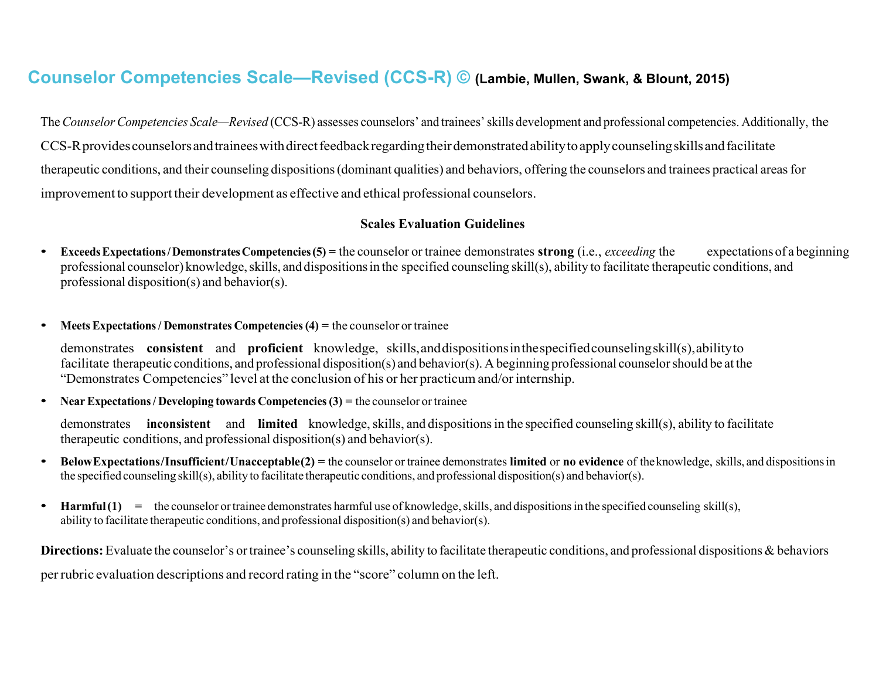# **Counselor Competencies Scale—Revised (CCS-R) © (Lambie, Mullen, Swank, & Blount, 2015)**

The*CounselorCompetencies Scale—Revised* (CCS-R) assesses counselors' and trainees'skills development and professional competencies. Additionally, the CCS-R provides counselors and trainees with direct feedback regarding their demonstrated ability to apply counseling skills and facilitate therapeutic conditions, and their counseling dispositions(dominant qualities) and behaviors, offering the counselors and trainees practical areasfor improvement to support their development as effective and ethical professional counselors.

#### **Scales Evaluation Guidelines**

- **ExceedsExpectations/DemonstratesCompetencies(5) =** the counselor or trainee demonstrates **strong** (i.e., *exceeding* the expectations of a beginning professional counselor) knowledge, skills, and dispositions in the specified counseling skill(s), ability to facilitate therapeutic conditions, and professional disposition(s) and behavior(s).
- **Meets Expectations/ Demonstrates Competencies(4) =** the counselor ortrainee

demonstrates **consistent** and **proficient** knowledge, skills,anddispositionsinthespecifiedcounselingskill(s),abilityto facilitate therapeutic conditions, and professional disposition(s) and behavior(s). A beginning professional counselorshould be at the "Demonstrates Competencies" level at the conclusion of his or her practicumand/orinternship.

• **Near Expectations/ Developing towards Competencies(3) =** the counselor ortrainee

demonstrates **inconsistent** and **limited** knowledge, skills, and dispositions in the specified counseling skill(s), ability to facilitate therapeutic conditions, and professional disposition(s) and behavior(s).

- **BelowExpectations/Insufficient/Unacceptable(2) =** the counselor or trainee demonstrates **limited** or **no evidence** of theknowledge, skills, and dispositionsin the specified counseling skill(s), ability to facilitate therapeutic conditions, and professional disposition(s) and behavior(s).
- **Harmful(1) =** the counselor ortrainee demonstrates harmful use of knowledge,skills, and dispositionsin the specified counseling skill(s), ability to facilitate therapeutic conditions, and professional disposition(s) and behavior(s).

**Directions:** Evaluate the counselor's or trainee's counseling skills, ability to facilitate therapeutic conditions, and professional dispositions & behaviors perrubric evaluation descriptions and record rating in the "score" column on the left.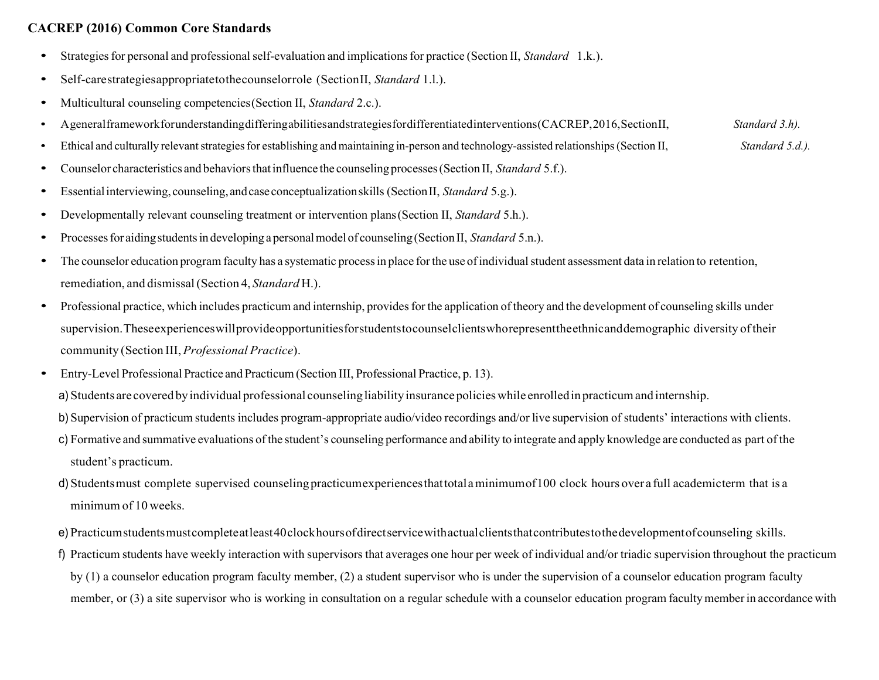### **CACREP (2016) Common Core Standards**

- Strategies for personal and professional self-evaluation and implications for practice (Section II, *Standard* 1.k.).
- Self-carestrategiesappropriatetothecounselorrole (SectionII, *Standard* 1.l.).
- Multicultural counseling competencies(Section II, *Standard* 2.c.).
- Ageneralframeworkforunderstandingdifferingabilitiesandstrategiesfordifferentiatedinterventions(CACREP,2016,SectionII, *Standard 3.h).*
- Ethical and culturally relevant strategies for establishing and maintaining in-person and technology-assisted relationships (Section II, *Standard 5.d.)*.
- Counselor characteristics and behaviorsthatinfluence the counseling processes(Section II, *Standard* 5.f.).
- Essentialinterviewing, counseling,andcaseconceptualizationskills (SectionII, *Standard* 5.g.).
- Developmentally relevant counseling treatment or intervention plans (Section II, *Standard* 5.h.).
- Processes for aiding students in developing a personal model of counseling (Section II, *Standard* 5.n.).
- The counselor education program faculty has a systematic process in place for the use of individual student assessment data in relation to retention, remediation, and dismissal(Section 4, *Standard* H.).
- Professional practice, which includes practicum and internship, provides for the application of theory and the development of counseling skills under supervision.Theseexperienceswillprovideopportunitiesforstudentstocounselclientswhorepresenttheethnicanddemographic diversity oftheir community (Section III, *Professional Practice*).
- Entry-Level Professional Practice and Practicum(Section III, Professional Practice, p. 13).
	- a) Students are covered by individual professional counseling liability insurance policies while enrolled in practicum and internship.
	- b) Supervision of practicum students includes program-appropriate audio/video recordings and/or live supervision of students' interactions with clients.
	- c) Formative and summative evaluations of the student's counseling performance and ability to integrate and apply knowledge are conducted as part ofthe student's practicum.
	- d) Students must complete supervised counseling practicumexperiences that total a minimumof100 clock hours over a full academicterm that is a minimum of 10 weeks.
	- e) Practicumstudentsmustcompleteatleast40clockhoursofdirectservicewithactualclientsthatcontributestothedevelopmentofcounseling skills.
	- f) Practicum students have weekly interaction with supervisors that averages one hour per week of individual and/or triadic supervision throughout the practicum by (1) a counselor education program faculty member, (2) a student supervisor who is under the supervision of a counselor education program faculty member, or (3) a site supervisor who is working in consultation on a regular schedule with a counselor education program faculty member in accordance with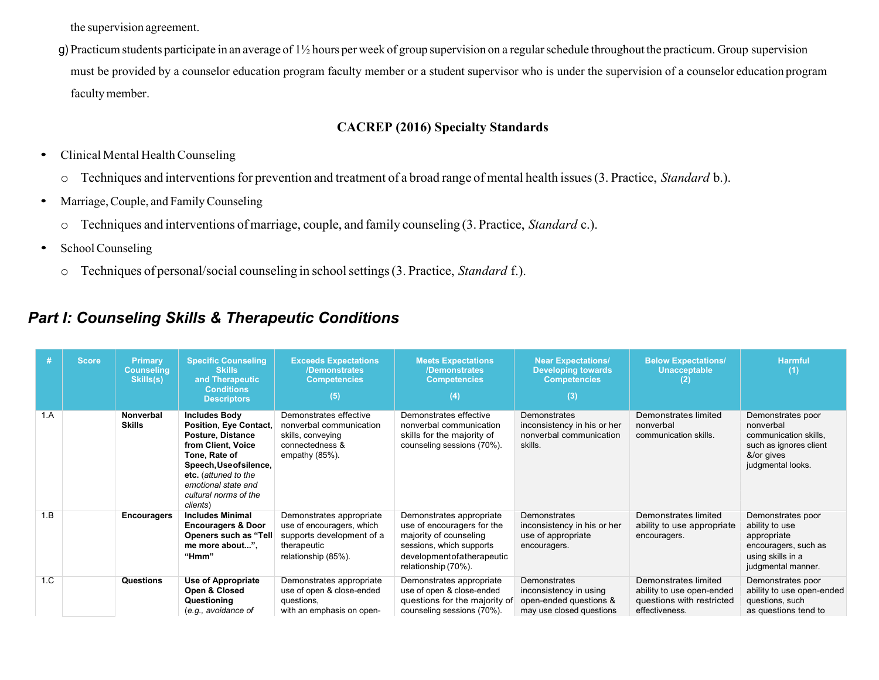the supervision agreement.

g) Practicum students participate in an average of 1½ hours per week of group supervision on a regularschedule throughout the practicum. Group supervision must be provided by a counselor education program faculty member or a student supervisor who is under the supervision of a counselor education program facultymember.

### **CACREP (2016) Specialty Standards**

- Clinical Mental Health Counseling
	- o Techniques and interventionsfor prevention and treatment of a broad range of mental health issues(3. Practice, *Standard* b.).
- Marriage, Couple, and Family Counseling
	- o Techniques and interventions ofmarriage, couple, and family counseling (3. Practice, *Standard* c.).
- School Counseling
	- o Techniques of personal/social counseling in schoolsettings(3. Practice, *Standard* f.).

### *Part I: Counseling Skills & Therapeutic Conditions*

| #   | <b>Score</b> | <b>Primary</b><br><b>Counseling</b><br>Skills(s) | <b>Specific Counseling</b><br><b>Skills</b><br>and Therapeutic<br><b>Conditions</b><br><b>Descriptors</b>                                                                                                                 | <b>Exceeds Expectations</b><br>/Demonstrates<br><b>Competencies</b><br>(5)                                               | <b>Meets Expectations</b><br>/Demonstrates<br><b>Competencies</b><br>(4)                                                                                             | <b>Near Expectations/</b><br><b>Developing towards</b><br><b>Competencies</b><br>(3)         | <b>Below Expectations/</b><br><b>Unacceptable</b>                                                | <b>Harmful</b><br>(1)                                                                                                 |
|-----|--------------|--------------------------------------------------|---------------------------------------------------------------------------------------------------------------------------------------------------------------------------------------------------------------------------|--------------------------------------------------------------------------------------------------------------------------|----------------------------------------------------------------------------------------------------------------------------------------------------------------------|----------------------------------------------------------------------------------------------|--------------------------------------------------------------------------------------------------|-----------------------------------------------------------------------------------------------------------------------|
| 1.A |              | Nonverbal<br><b>Skills</b>                       | <b>Includes Body</b><br>Position, Eye Contact,<br>Posture, Distance<br>from Client, Voice<br>Tone, Rate of<br>Speech, Use of silence,<br>etc. (attuned to the<br>emotional state and<br>cultural norms of the<br>clients) | Demonstrates effective<br>nonverbal communication<br>skills, conveying<br>connectedness &<br>empathy (85%).              | Demonstrates effective<br>nonverbal communication<br>skills for the majority of<br>counseling sessions (70%).                                                        | Demonstrates<br>inconsistency in his or her<br>nonverbal communication<br>skills.            | Demonstrates limited<br>nonverbal<br>communication skills.                                       | Demonstrates poor<br>nonverbal<br>communication skills,<br>such as ignores client<br>&/or gives<br>judgmental looks.  |
| 1.B |              | <b>Encouragers</b>                               | <b>Includes Minimal</b><br><b>Encouragers &amp; Door</b><br>Openers such as "Tell<br>me more about".<br>"Hmm"                                                                                                             | Demonstrates appropriate<br>use of encouragers, which<br>supports development of a<br>therapeutic<br>relationship (85%). | Demonstrates appropriate<br>use of encouragers for the<br>majority of counseling<br>sessions, which supports<br>development of a the rapeutic<br>relationship (70%). | Demonstrates<br>inconsistency in his or her<br>use of appropriate<br>encouragers.            | Demonstrates limited<br>ability to use appropriate<br>encouragers.                               | Demonstrates poor<br>ability to use<br>appropriate<br>encouragers, such as<br>using skills in a<br>judgmental manner. |
| 1.C |              | Questions                                        | <b>Use of Appropriate</b><br>Open & Closed<br>Questioning<br>(e.g., avoidance of                                                                                                                                          | Demonstrates appropriate<br>use of open & close-ended<br>questions,<br>with an emphasis on open-                         | Demonstrates appropriate<br>use of open & close-ended<br>questions for the majority of<br>counseling sessions (70%).                                                 | Demonstrates<br>inconsistency in using<br>open-ended questions &<br>may use closed questions | Demonstrates limited<br>ability to use open-ended<br>questions with restricted<br>effectiveness. | Demonstrates poor<br>ability to use open-ended<br>questions, such<br>as questions tend to                             |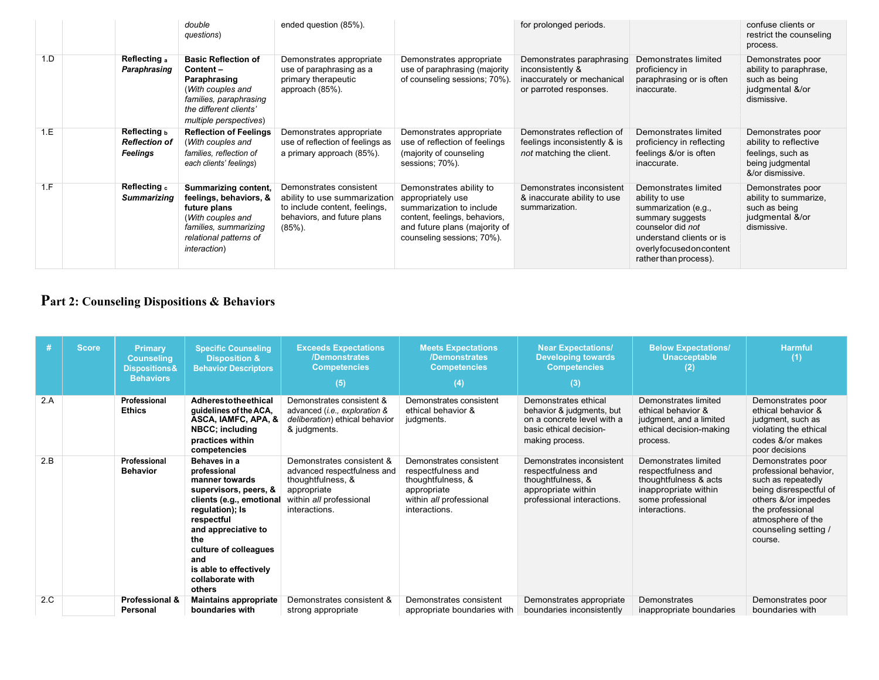|     |          | double<br>questions)                                                                                                                                                                                 | ended question (85%).                                                                                                                |                                                                                                                                                                          | for prolonged periods.                                                                                |                                                                                                                                                                                        | confuse clients or<br>restrict the counseling<br>process.                                               |
|-----|----------|------------------------------------------------------------------------------------------------------------------------------------------------------------------------------------------------------|--------------------------------------------------------------------------------------------------------------------------------------|--------------------------------------------------------------------------------------------------------------------------------------------------------------------------|-------------------------------------------------------------------------------------------------------|----------------------------------------------------------------------------------------------------------------------------------------------------------------------------------------|---------------------------------------------------------------------------------------------------------|
| 1.D |          | Reflecting a<br><b>Basic Reflection of</b><br>Paraphrasing<br>Content-<br>Paraphrasing<br>(With couples and<br>families, paraphrasing<br>the different clients'<br>multiple perspectives)            | Demonstrates appropriate<br>use of paraphrasing as a<br>primary therapeutic<br>approach (85%).                                       | Demonstrates appropriate<br>use of paraphrasing (majority<br>of counseling sessions; 70%).                                                                               | Demonstrates paraphrasing<br>inconsistently &<br>inaccurately or mechanical<br>or parroted responses. | Demonstrates limited<br>proficiency in<br>paraphrasing or is often<br>inaccurate.                                                                                                      | Demonstrates poor<br>ability to paraphrase,<br>such as being<br>judgmental &/or<br>dismissive.          |
| 1.E | Feelings | Reflecting b<br><b>Reflection of Feelings</b><br><b>Reflection of</b><br>(With couples and<br>families, reflection of<br>each clients' feelings)                                                     | Demonstrates appropriate<br>use of reflection of feelings as<br>a primary approach (85%).                                            | Demonstrates appropriate<br>use of reflection of feelings<br>(majority of counseling<br>sessions; 70%).                                                                  | Demonstrates reflection of<br>feelings inconsistently & is<br>not matching the client.                | Demonstrates limited<br>proficiency in reflecting<br>feelings &/or is often<br>inaccurate.                                                                                             | Demonstrates poor<br>ability to reflective<br>feelings, such as<br>being judgmental<br>&/or dismissive. |
| 1.F |          | Reflecting c<br>Summarizing content,<br>feelings, behaviors, &<br><b>Summarizing</b><br>future plans<br>(With couples and<br>families, summarizing<br>relational patterns of<br><i>interaction</i> ) | Demonstrates consistent<br>ability to use summarization<br>to include content, feelings,<br>behaviors, and future plans<br>$(85%)$ . | Demonstrates ability to<br>appropriately use<br>summarization to include<br>content, feelings, behaviors,<br>and future plans (majority of<br>counseling sessions; 70%). | Demonstrates inconsistent<br>& inaccurate ability to use<br>summarization.                            | Demonstrates limited<br>ability to use<br>summarization (e.g.,<br>summary suggests<br>counselor did not<br>understand clients or is<br>overlyfocusedoncontent<br>rather than process). | Demonstrates poor<br>ability to summarize,<br>such as being<br>judgmental &/or<br>dismissive.           |

# **Part 2: Counseling Dispositions & Behaviors**

|     | <b>Score</b> | Primary<br><b>Counseling</b><br><b>Dispositions &amp;</b><br><b>Behaviors</b> | <b>Specific Counseling</b><br><b>Disposition &amp;</b><br><b>Behavior Descriptors</b>                                                                                                                                                                      | <b>Exceeds Expectations</b><br>/Demonstrates<br><b>Competencies</b><br>(5)                                                               | <b>Meets Expectations</b><br>/Demonstrates<br><b>Competencies</b><br>$\left( 4\right)$                                        | <b>Near Expectations/</b><br><b>Developing towards</b><br><b>Competencies</b><br>(3)                                          | <b>Below Expectations/</b><br><b>Unacceptable</b><br>(2)                                                                          | <b>Harmful</b><br>(1)                                                                                                                                                                          |
|-----|--------------|-------------------------------------------------------------------------------|------------------------------------------------------------------------------------------------------------------------------------------------------------------------------------------------------------------------------------------------------------|------------------------------------------------------------------------------------------------------------------------------------------|-------------------------------------------------------------------------------------------------------------------------------|-------------------------------------------------------------------------------------------------------------------------------|-----------------------------------------------------------------------------------------------------------------------------------|------------------------------------------------------------------------------------------------------------------------------------------------------------------------------------------------|
| 2.A |              | Professional<br><b>Ethics</b>                                                 | Adherestotheethical<br>guidelines of the ACA,<br>ASCA, IAMFC, APA, &<br><b>NBCC; including</b><br>practices within<br>competencies                                                                                                                         | Demonstrates consistent &<br>advanced (i.e., exploration &<br>deliberation) ethical behavior<br>& judgments.                             | Demonstrates consistent<br>ethical behavior &<br>judgments.                                                                   | Demonstrates ethical<br>behavior & judgments, but<br>on a concrete level with a<br>basic ethical decision-<br>making process. | Demonstrates limited<br>ethical behavior &<br>judgment, and a limited<br>ethical decision-making<br>process.                      | Demonstrates poor<br>ethical behavior &<br>judgment, such as<br>violating the ethical<br>codes &/or makes<br>poor decisions                                                                    |
| 2.B |              | Professional<br><b>Behavior</b>                                               | Behaves in a<br>professional<br>manner towards<br>supervisors, peers, &<br>clients (e.g., emotional<br>regulation); Is<br>respectful<br>and appreciative to<br>the<br>culture of colleagues<br>and<br>is able to effectively<br>collaborate with<br>others | Demonstrates consistent &<br>advanced respectfulness and<br>thoughtfulness, &<br>appropriate<br>within all professional<br>interactions. | Demonstrates consistent<br>respectfulness and<br>thoughtfulness, &<br>appropriate<br>within all professional<br>interactions. | Demonstrates inconsistent<br>respectfulness and<br>thoughtfulness, &<br>appropriate within<br>professional interactions.      | Demonstrates limited<br>respectfulness and<br>thoughtfulness & acts<br>inappropriate within<br>some professional<br>interactions. | Demonstrates poor<br>professional behavior,<br>such as repeatedly<br>being disrespectful of<br>others &/or impedes<br>the professional<br>atmosphere of the<br>counseling setting /<br>course. |
| 2.C |              | <b>Professional &amp;</b><br>Personal                                         | <b>Maintains appropriate</b><br>boundaries with                                                                                                                                                                                                            | Demonstrates consistent &<br>strong appropriate                                                                                          | Demonstrates consistent<br>appropriate boundaries with                                                                        | Demonstrates appropriate<br>boundaries inconsistently                                                                         | Demonstrates<br>inappropriate boundaries                                                                                          | Demonstrates poor<br>boundaries with                                                                                                                                                           |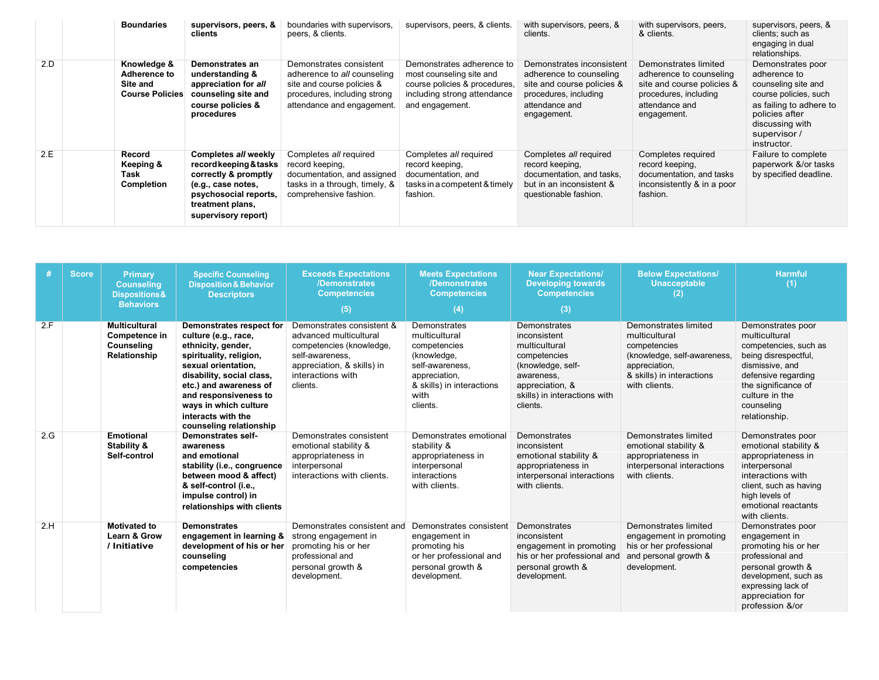|     | <b>Boundaries</b>                                                 | supervisors, peers, &<br>clients                                                                                                                                 | boundaries with supervisors,<br>peers, & clients.                                                                                                  | supervisors, peers, & clients.                                                                                                           | with supervisors, peers, &<br>clients.                                                                                                       | with supervisors, peers,<br>& clients.                                                                                                  | supervisors, peers, &<br>clients; such as<br>engaging in dual<br>relationships.                                                                                                  |
|-----|-------------------------------------------------------------------|------------------------------------------------------------------------------------------------------------------------------------------------------------------|----------------------------------------------------------------------------------------------------------------------------------------------------|------------------------------------------------------------------------------------------------------------------------------------------|----------------------------------------------------------------------------------------------------------------------------------------------|-----------------------------------------------------------------------------------------------------------------------------------------|----------------------------------------------------------------------------------------------------------------------------------------------------------------------------------|
| 2.D | Knowledge &<br>Adherence to<br>Site and<br><b>Course Policies</b> | Demonstrates an<br>understanding &<br>appreciation for all<br>counseling site and<br>course policies &<br>procedures                                             | Demonstrates consistent<br>adherence to all counseling<br>site and course policies &<br>procedures, including strong<br>attendance and engagement. | Demonstrates adherence to<br>most counseling site and<br>course policies & procedures,<br>including strong attendance<br>and engagement. | Demonstrates inconsistent<br>adherence to counseling<br>site and course policies &<br>procedures, including<br>attendance and<br>engagement. | Demonstrates limited<br>adherence to counseling<br>site and course policies &<br>procedures, including<br>attendance and<br>engagement. | Demonstrates poor<br>adherence to<br>counseling site and<br>course policies, such<br>as failing to adhere to<br>policies after<br>discussing with<br>supervisor /<br>instructor. |
| 2.E | Record<br>Keeping &<br>Task<br>Completion                         | Completes all weekly<br>record keeping & tasks<br>correctly & promptly<br>(e.g., case notes,<br>psychosocial reports,<br>treatment plans,<br>supervisory report) | Completes all required<br>record keeping.<br>documentation, and assigned<br>tasks in a through, timely, &<br>comprehensive fashion.                | Completes all required<br>record keeping,<br>documentation, and<br>tasks in a competent & timely<br>fashion.                             | Completes all required<br>record keeping,<br>documentation, and tasks,<br>but in an inconsistent &<br>questionable fashion.                  | Completes required<br>record keeping,<br>documentation, and tasks<br>inconsistently & in a poor<br>fashion.                             | Failure to complete<br>paperwork &/or tasks<br>by specified deadline.                                                                                                            |

| #   | <b>Score</b> | Primary<br><b>Counseling</b><br><b>Dispositions&amp;</b><br><b>Behaviors</b> | <b>Specific Counseling</b><br><b>Disposition &amp; Behavior</b><br><b>Descriptors</b>                                                                                                                                                                                              | <b>Exceeds Expectations</b><br>/Demonstrates<br><b>Competencies</b><br>(5)                                                                                        | <b>Meets Expectations</b><br>/Demonstrates<br><b>Competencies</b><br>(4)                                                                          | <b>Near Expectations/</b><br><b>Developing towards</b><br><b>Competencies</b><br>(3)                                                                            | <b>Below Expectations/</b><br><b>Unacceptable</b><br>$\mathbf{2}$                                                                                   | <b>Harmful</b><br>(1)                                                                                                                                                                                 |
|-----|--------------|------------------------------------------------------------------------------|------------------------------------------------------------------------------------------------------------------------------------------------------------------------------------------------------------------------------------------------------------------------------------|-------------------------------------------------------------------------------------------------------------------------------------------------------------------|---------------------------------------------------------------------------------------------------------------------------------------------------|-----------------------------------------------------------------------------------------------------------------------------------------------------------------|-----------------------------------------------------------------------------------------------------------------------------------------------------|-------------------------------------------------------------------------------------------------------------------------------------------------------------------------------------------------------|
| 2.F |              | <b>Multicultural</b><br>Competence in<br>Counseling<br>Relationship          | Demonstrates respect for<br>culture (e.g., race,<br>ethnicity, gender,<br>spirituality, religion,<br>sexual orientation.<br>disability, social class,<br>etc.) and awareness of<br>and responsiveness to<br>ways in which culture<br>interacts with the<br>counseling relationship | Demonstrates consistent &<br>advanced multicultural<br>competencies (knowledge,<br>self-awareness.<br>appreciation, & skills) in<br>interactions with<br>clients. | Demonstrates<br>multicultural<br>competencies<br>(knowledge,<br>self-awareness.<br>appreciation,<br>& skills) in interactions<br>with<br>clients. | Demonstrates<br>inconsistent<br>multicultural<br>competencies<br>(knowledge, self-<br>awareness.<br>appreciation, &<br>skills) in interactions with<br>clients. | Demonstrates limited<br>multicultural<br>competencies<br>(knowledge, self-awareness,<br>appreciation,<br>& skills) in interactions<br>with clients. | Demonstrates poor<br>multicultural<br>competencies, such as<br>being disrespectful,<br>dismissive, and<br>defensive regarding<br>the significance of<br>culture in the<br>counseling<br>relationship. |
| 2.G |              | <b>Emotional</b><br>Stability &<br>Self-control                              | Demonstrates self-<br>awareness<br>and emotional<br>stability (i.e., congruence<br>between mood & affect)<br>& self-control (i.e.,<br>impulse control) in<br>relationships with clients                                                                                            | Demonstrates consistent<br>emotional stability &<br>appropriateness in<br>interpersonal<br>interactions with clients.                                             | Demonstrates emotional<br>stability &<br>appropriateness in<br>interpersonal<br>interactions<br>with clients.                                     | Demonstrates<br>inconsistent<br>emotional stability &<br>appropriateness in<br>interpersonal interactions<br>with clients.                                      | Demonstrates limited<br>emotional stability &<br>appropriateness in<br>interpersonal interactions<br>with clients.                                  | Demonstrates poor<br>emotional stability &<br>appropriateness in<br>interpersonal<br>interactions with<br>client, such as having<br>high levels of<br>emotional reactants<br>with clients.            |
| 2.H |              | <b>Motivated to</b><br><b>Learn &amp; Grow</b><br>/ Initiative               | <b>Demonstrates</b><br>engagement in learning &<br>development of his or her<br>counseling<br>competencies                                                                                                                                                                         | Demonstrates consistent and<br>strong engagement in<br>promoting his or her<br>professional and<br>personal growth &<br>development.                              | Demonstrates consistent<br>engagement in<br>promoting his<br>or her professional and<br>personal growth &<br>development.                         | Demonstrates<br>inconsistent<br>engagement in promoting<br>his or her professional and<br>personal growth &<br>development.                                     | Demonstrates limited<br>engagement in promoting<br>his or her professional<br>and personal growth &<br>development.                                 | Demonstrates poor<br>engagement in<br>promoting his or her<br>professional and<br>personal growth &<br>development, such as<br>expressing lack of<br>appreciation for<br>profession &/or              |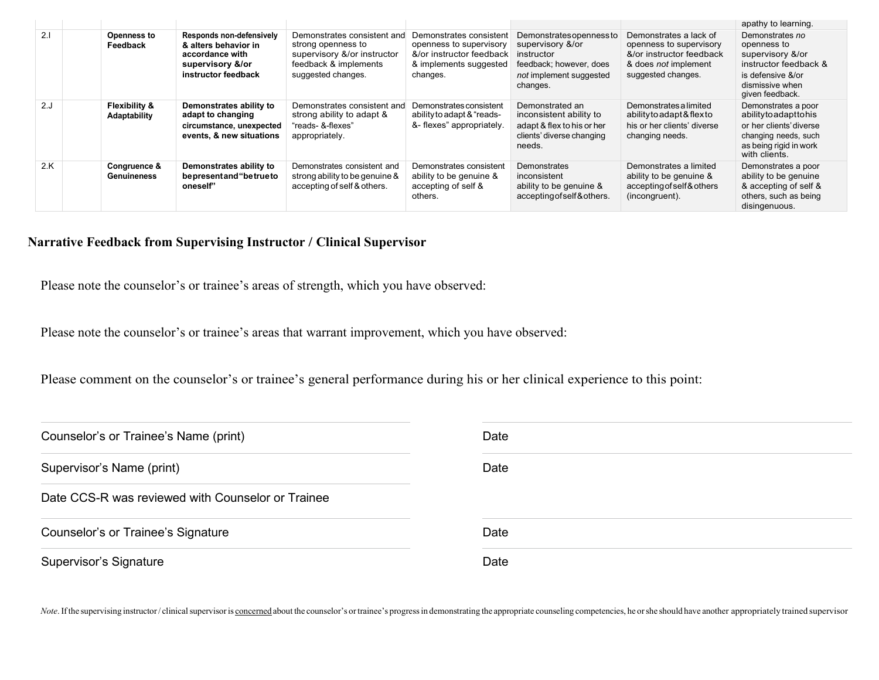|      |                                |                                                                                                                |                                                                                                                                 |                                                                                                                      |                                                                                                                              |                                                                                                                             | apathy to learning.                                                                                                                      |
|------|--------------------------------|----------------------------------------------------------------------------------------------------------------|---------------------------------------------------------------------------------------------------------------------------------|----------------------------------------------------------------------------------------------------------------------|------------------------------------------------------------------------------------------------------------------------------|-----------------------------------------------------------------------------------------------------------------------------|------------------------------------------------------------------------------------------------------------------------------------------|
| 2.1  | <b>Openness to</b><br>Feedback | Responds non-defensively<br>& alters behavior in<br>accordance with<br>supervisory &/or<br>instructor feedback | Demonstrates consistent and<br>strong openness to<br>supervisory &/or instructor<br>feedback & implements<br>suggested changes. | Demonstrates consistent<br>openness to supervisory<br>&/or instructor feedback<br>& implements suggested<br>changes. | Demonstrates openness to<br>supervisory &/or<br>instructor<br>feedback; however, does<br>not implement suggested<br>changes. | Demonstrates a lack of<br>openness to supervisory<br>&/or instructor feedback<br>& does not implement<br>suggested changes. | Demonstrates no<br>openness to<br>supervisory &/or<br>instructor feedback &<br>is defensive &/or<br>dismissive when<br>given feedback.   |
| 2. J | Flexibility &<br>Adaptability  | Demonstrates ability to<br>adapt to changing<br>circumstance, unexpected<br>events, & new situations           | Demonstrates consistent and<br>strong ability to adapt &<br>"reads- &-flexes"<br>appropriately.                                 | Demonstrates consistent<br>ability to adapt & "reads-<br>&-flexes" appropriately.                                    | Demonstrated an<br>inconsistent ability to<br>adapt & flex to his or her<br>clients' diverse changing<br>needs.              | Demonstrates a limited<br>ability to adapt & flex to<br>his or her clients' diverse<br>changing needs.                      | Demonstrates a poor<br>abilitytoadapttohis<br>or her clients' diverse<br>changing needs, such<br>as being rigid in work<br>with clients. |
| 2.K  | Congruence &<br>Genuineness    | Demonstrates ability to<br>bepresentand "betrueto<br>oneself"                                                  | Demonstrates consistent and<br>strong ability to be genuine &<br>accepting of self & others.                                    | Demonstrates consistent<br>ability to be genuine &<br>accepting of self &<br>others.                                 | Demonstrates<br>inconsistent<br>ability to be genuine &<br>accepting of self & others.                                       | Demonstrates a limited<br>ability to be genuine &<br>accepting of self & others<br>(incongruent).                           | Demonstrates a poor<br>ability to be genuine<br>& accepting of self &<br>others, such as being<br>disingenuous.                          |

### **Narrative Feedback from Supervising Instructor / Clinical Supervisor**

Please note the counselor's or trainee's areas of strength, which you have observed:

Please note the counselor's or trainee's areas that warrant improvement, which you have observed:

Please comment on the counselor's or trainee's general performance during his or her clinical experience to this point:

| Counselor's or Trainee's Name (print)             | Date |
|---------------------------------------------------|------|
| Supervisor's Name (print)                         | Date |
| Date CCS-R was reviewed with Counselor or Trainee |      |
| Counselor's or Trainee's Signature                | Date |
| Supervisor's Signature                            | Date |

Note. If the supervising instructor/clinical supervisor is concerned about the counselor's or trainee's progress in demonstrating the appropriate counseling competencies, he or she should have another appropriately trained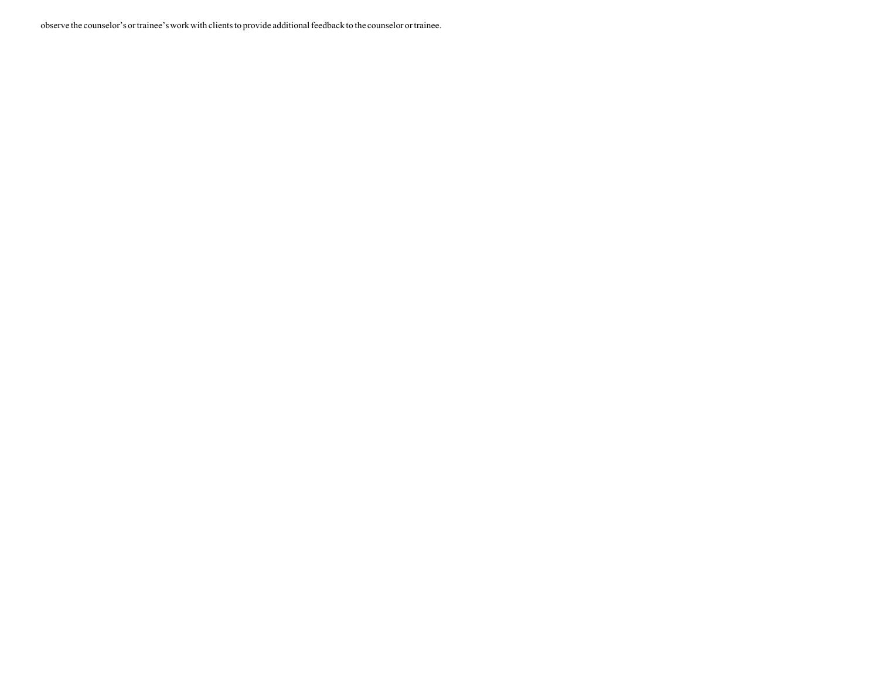observe the counselor's ortrainee'swork with clientsto provide additionalfeedback to the counselor ortrainee.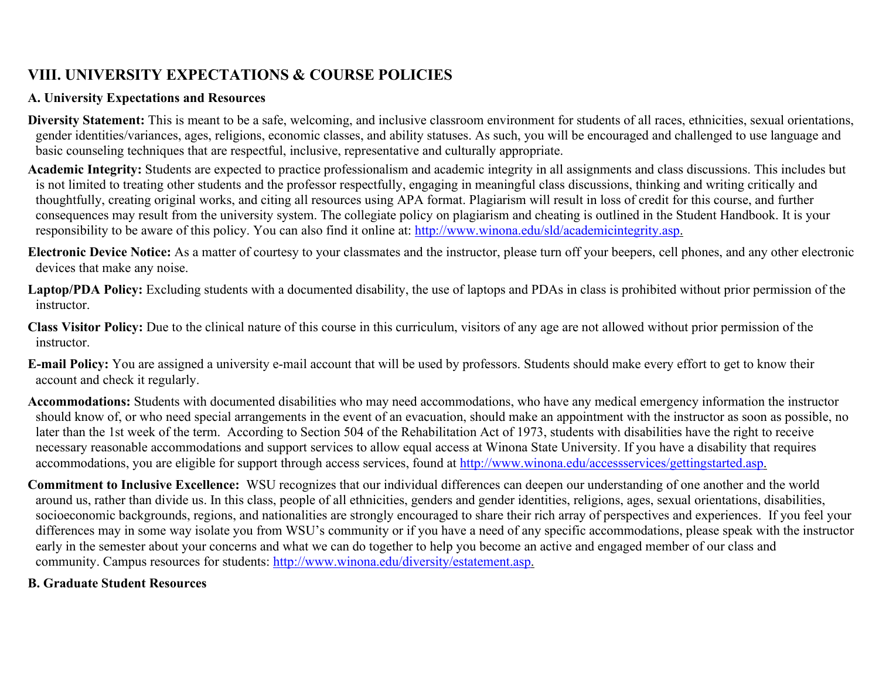# **VIII. UNIVERSITY EXPECTATIONS & COURSE POLICIES**

### **A. University Expectations and Resources**

- **Diversity Statement:** This is meant to be a safe, welcoming, and inclusive classroom environment for students of all races, ethnicities, sexual orientations, gender identities/variances, ages, religions, economic classes, and ability statuses. As such, you will be encouraged and challenged to use language and basic counseling techniques that are respectful, inclusive, representative and culturally appropriate.
- **Academic Integrity:** Students are expected to practice professionalism and academic integrity in all assignments and class discussions. This includes but is not limited to treating other students and the professor respectfully, engaging in meaningful class discussions, thinking and writing critically and thoughtfully, creating original works, and citing all resources using APA format. Plagiarism will result in loss of credit for this course, and further consequences may result from the university system. The collegiate policy on plagiarism and cheating is outlined in the Student Handbook. It is your responsibility to be aware of this policy. You can also find it online at: [http://www.winona.edu/sld/academicintegrity.asp.](http://www.winona.edu/sld/academicintegrity.asp)
- **Electronic Device Notice:** As a matter of courtesy to your classmates and the instructor, please turn off your beepers, cell phones, and any other electronic devices that make any noise.
- **Laptop/PDA Policy:** Excluding students with a documented disability, the use of laptops and PDAs in class is prohibited without prior permission of the instructor.
- **Class Visitor Policy:** Due to the clinical nature of this course in this curriculum, visitors of any age are not allowed without prior permission of the instructor.
- **E-mail Policy:** You are assigned a university e-mail account that will be used by professors. Students should make every effort to get to know their account and check it regularly.
- **Accommodations:** Students with documented disabilities who may need accommodations, who have any medical emergency information the instructor should know of, or who need special arrangements in the event of an evacuation, should make an appointment with the instructor as soon as possible, no later than the 1st week of the term. According to Section 504 of the Rehabilitation Act of 1973, students with disabilities have the right to receive necessary reasonable accommodations and support services to allow equal access at Winona State University. If you have a disability that requires accommodations, you are eligible for support through access services, found at [http://www.winona.edu/accessservices/gettingstarted.asp.](http://www.winona.edu/accessservices/gettingstarted.asp)
- **Commitment to Inclusive Excellence:** WSU recognizes that our individual differences can deepen our understanding of one another and the world around us, rather than divide us. In this class, people of all ethnicities, genders and gender identities, religions, ages, sexual orientations, disabilities, socioeconomic backgrounds, regions, and nationalities are strongly encouraged to share their rich array of perspectives and experiences. If you feel your differences may in some way isolate you from WSU's community or if you have a need of any specific accommodations, please speak with the instructor early in the semester about your concerns and what we can do together to help you become an active and engaged member of our class and community. Campus resources for students: [http://www.winona.edu/diversity/estatement.asp.](http://www.winona.edu/diversity/estatement.asp)

### **B. Graduate Student Resources**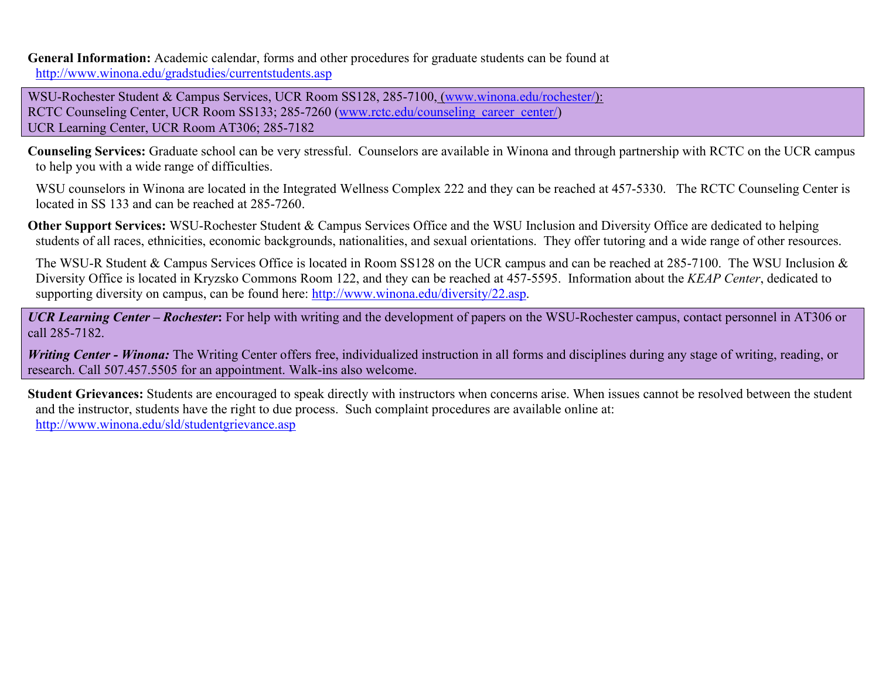**General Information:** Academic calendar, forms and other procedures for graduate students can be found at <http://www.winona.edu/gradstudies/currentstudents.asp>

WSU-Rochester Student & Campus Services, UCR Room SS128, 285-7100, [\(www.winona.edu/rochester/\)](http://www.winona.edu/rochester/): RCTC Counseling Center, UCR Room SS133; 285-7260 [\(www.rctc.edu/counseling\\_career\\_center/\)](http://www.rctc.edu/counseling_career_center/) UCR Learning Center, UCR Room AT306; 285-7182

**Counseling Services:** Graduate school can be very stressful. Counselors are available in Winona and through partnership with RCTC on the UCR campus to help you with a wide range of difficulties.

WSU counselors in Winona are located in the Integrated Wellness Complex 222 and they can be reached at 457-5330. The RCTC Counseling Center is located in SS 133 and can be reached at 285-7260.

**Other Support Services:** WSU-Rochester Student & Campus Services Office and the WSU Inclusion and Diversity Office are dedicated to helping students of all races, ethnicities, economic backgrounds, nationalities, and sexual orientations. They offer tutoring and a wide range of other resources.

The WSU-R Student & Campus Services Office is located in Room SS128 on the UCR campus and can be reached at 285-7100. The WSU Inclusion & Diversity Office is located in Kryzsko Commons Room 122, and they can be reached at 457-5595. Information about the *KEAP Center*, dedicated to supporting diversity on campus, can be found here: [http://www.winona.edu/diversity/22.asp.](http://www.winona.edu/diversity/22.asp)

*UCR Learning Center – Rochester***:** For help with writing and the development of papers on the WSU-Rochester campus, contact personnel in AT306 or call 285-7182.

*Writing Center - Winona:* The Writing Center offers free, individualized instruction in all forms and disciplines during any stage of writing, reading, or research. Call 507.457.5505 for an appointment. Walk-ins also welcome.

**Student Grievances:** Students are encouraged to speak directly with instructors when concerns arise. When issues cannot be resolved between the student and the instructor, students have the right to due process. Such complaint procedures are available online at: <http://www.winona.edu/sld/studentgrievance.asp>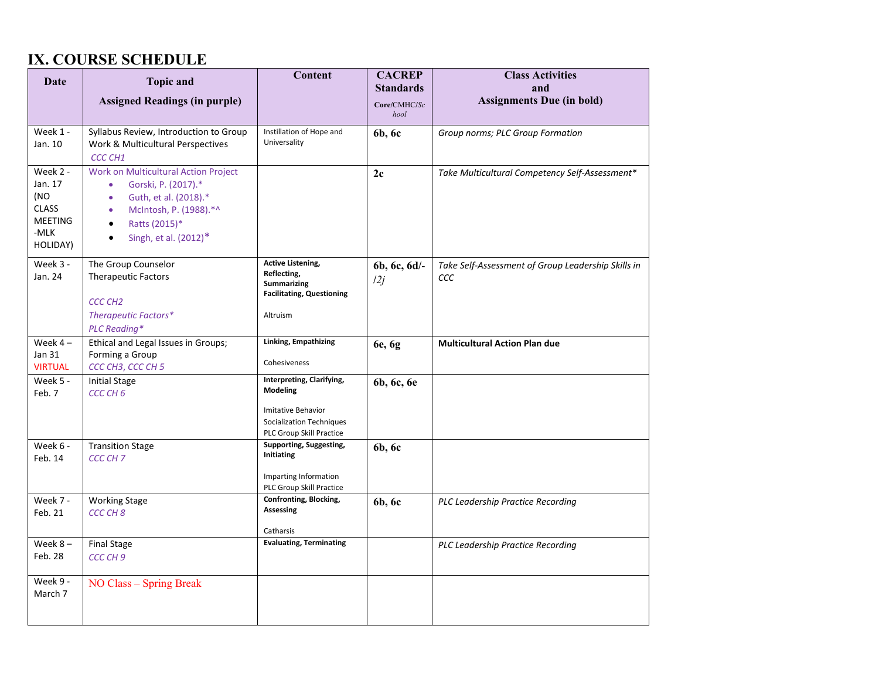## **IX. COURSE SCHEDULE**

| Date                                                                                                                                                                                                                                                                                | <b>Topic and</b><br><b>Assigned Readings (in purple)</b>                                      | Content                                                                                                                    | <b>CACREP</b><br><b>Standards</b><br>Core/CMHC/Sc<br>hool | <b>Class Activities</b><br>and<br><b>Assignments Due (in bold)</b> |
|-------------------------------------------------------------------------------------------------------------------------------------------------------------------------------------------------------------------------------------------------------------------------------------|-----------------------------------------------------------------------------------------------|----------------------------------------------------------------------------------------------------------------------------|-----------------------------------------------------------|--------------------------------------------------------------------|
|                                                                                                                                                                                                                                                                                     |                                                                                               |                                                                                                                            |                                                           |                                                                    |
| Week 1 -<br>Jan. 10                                                                                                                                                                                                                                                                 | Syllabus Review, Introduction to Group<br>Work & Multicultural Perspectives<br><b>CCC CH1</b> | Instillation of Hope and<br>Universality                                                                                   | 6b, 6c                                                    | Group norms; PLC Group Formation                                   |
| Week 2 -<br>Work on Multicultural Action Project<br>Jan. 17<br>Gorski, P. (2017).*<br>$\bullet$<br>(NO<br>Guth, et al. (2018).*<br>$\bullet$<br><b>CLASS</b><br>McIntosh, P. (1988).*^<br><b>MEETING</b><br>Ratts (2015)*<br>-MLK<br>Singh, et al. (2012)*<br>$\bullet$<br>HOLIDAY) |                                                                                               |                                                                                                                            | 2c                                                        | Take Multicultural Competency Self-Assessment*                     |
| Week 3 -<br>The Group Counselor<br>Jan. 24<br><b>Therapeutic Factors</b><br><b>CCC CH2</b><br>Therapeutic Factors*<br><b>PLC Reading*</b>                                                                                                                                           |                                                                                               | <b>Active Listening,</b><br>Reflecting,<br><b>Summarizing</b><br><b>Facilitating, Questioning</b><br>Altruism              | 6b, 6c, 6d/-<br>12j                                       | Take Self-Assessment of Group Leadership Skills in<br>CCC          |
| Week $4-$                                                                                                                                                                                                                                                                           | Ethical and Legal Issues in Groups;                                                           | Linking, Empathizing                                                                                                       | 6e, 6g                                                    | <b>Multicultural Action Plan due</b>                               |
| Jan 31<br><b>VIRTUAL</b>                                                                                                                                                                                                                                                            | Forming a Group<br>CCC CH3, CCC CH 5                                                          | Cohesiveness                                                                                                               |                                                           |                                                                    |
| Week 5 -<br><b>Initial Stage</b><br>Feb. 7<br>CCC CH <sub>6</sub>                                                                                                                                                                                                                   |                                                                                               | Interpreting, Clarifying,<br><b>Modeling</b><br>Imitative Behavior<br>Socialization Techniques<br>PLC Group Skill Practice | 6b, 6c, 6e                                                |                                                                    |
| Week 6 -<br><b>Transition Stage</b><br>Feb. 14<br>CCC CH <sub>7</sub>                                                                                                                                                                                                               |                                                                                               | Supporting, Suggesting,<br><b>Initiating</b><br>Imparting Information<br>PLC Group Skill Practice                          | 6b, 6c                                                    |                                                                    |
| Week 7 -<br>Feb. 21                                                                                                                                                                                                                                                                 | <b>Working Stage</b><br>CCC CH <sub>8</sub>                                                   | Confronting, Blocking,<br><b>Assessing</b><br>Catharsis                                                                    | 6b, 6c                                                    | PLC Leadership Practice Recording                                  |
| Week $8-$<br>Feb. 28                                                                                                                                                                                                                                                                | <b>Final Stage</b><br>CCC CH 9                                                                | <b>Evaluating, Terminating</b>                                                                                             |                                                           | <b>PLC Leadership Practice Recording</b>                           |
| Week 9 -<br>NO Class - Spring Break<br>March 7                                                                                                                                                                                                                                      |                                                                                               |                                                                                                                            |                                                           |                                                                    |